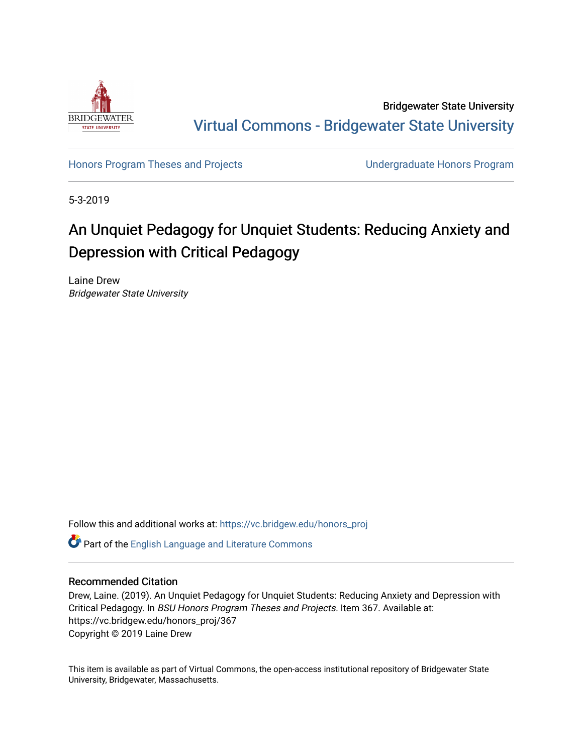

Bridgewater State University [Virtual Commons - Bridgewater State University](https://vc.bridgew.edu/) 

[Honors Program Theses and Projects](https://vc.bridgew.edu/honors_proj) [Undergraduate Honors Program](https://vc.bridgew.edu/honors) 

5-3-2019

# An Unquiet Pedagogy for Unquiet Students: Reducing Anxiety and Depression with Critical Pedagogy

Laine Drew Bridgewater State University

Follow this and additional works at: [https://vc.bridgew.edu/honors\\_proj](https://vc.bridgew.edu/honors_proj?utm_source=vc.bridgew.edu%2Fhonors_proj%2F367&utm_medium=PDF&utm_campaign=PDFCoverPages)

Part of the [English Language and Literature Commons](http://network.bepress.com/hgg/discipline/455?utm_source=vc.bridgew.edu%2Fhonors_proj%2F367&utm_medium=PDF&utm_campaign=PDFCoverPages)

#### Recommended Citation

Drew, Laine. (2019). An Unquiet Pedagogy for Unquiet Students: Reducing Anxiety and Depression with Critical Pedagogy. In BSU Honors Program Theses and Projects. Item 367. Available at: https://vc.bridgew.edu/honors\_proj/367 Copyright © 2019 Laine Drew

This item is available as part of Virtual Commons, the open-access institutional repository of Bridgewater State University, Bridgewater, Massachusetts.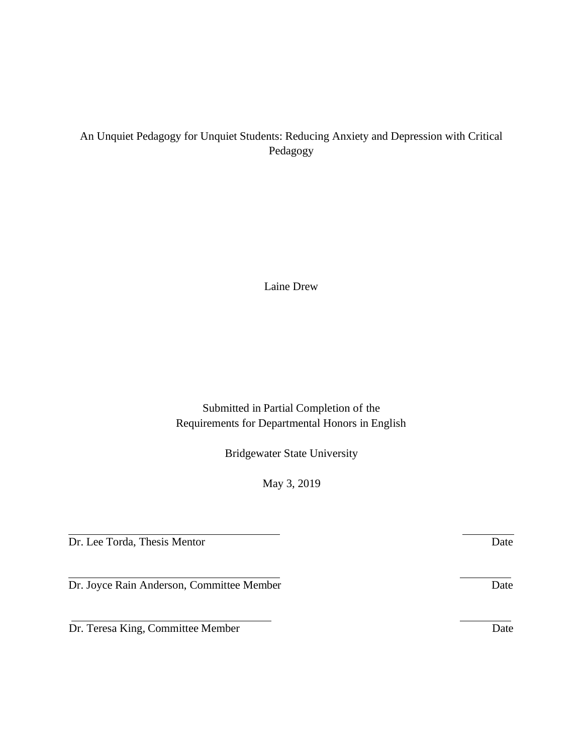# An Unquiet Pedagogy for Unquiet Students: Reducing Anxiety and Depression with Critical Pedagogy

Laine Drew

Submitted in Partial Completion of the Requirements for Departmental Honors in English

Bridgewater State University

May 3, 2019

Dr. Lee Torda, Thesis Mentor Date

Dr. Joyce Rain Anderson, Committee Member Date

Dr. Teresa King, Committee Member Date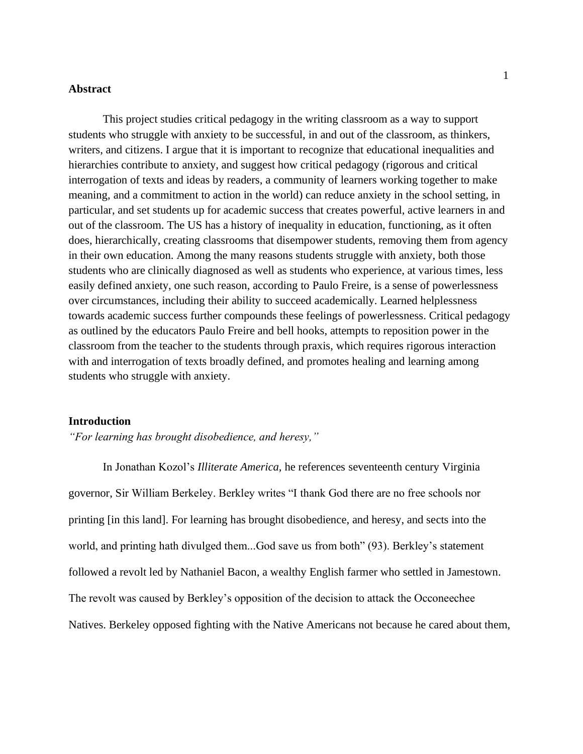# **Abstract**

This project studies critical pedagogy in the writing classroom as a way to support students who struggle with anxiety to be successful, in and out of the classroom, as thinkers, writers, and citizens. I argue that it is important to recognize that educational inequalities and hierarchies contribute to anxiety, and suggest how critical pedagogy (rigorous and critical interrogation of texts and ideas by readers, a community of learners working together to make meaning, and a commitment to action in the world) can reduce anxiety in the school setting, in particular, and set students up for academic success that creates powerful, active learners in and out of the classroom. The US has a history of inequality in education, functioning, as it often does, hierarchically, creating classrooms that disempower students, removing them from agency in their own education. Among the many reasons students struggle with anxiety, both those students who are clinically diagnosed as well as students who experience, at various times, less easily defined anxiety, one such reason, according to Paulo Freire, is a sense of powerlessness over circumstances, including their ability to succeed academically. Learned helplessness towards academic success further compounds these feelings of powerlessness. Critical pedagogy as outlined by the educators Paulo Freire and bell hooks, attempts to reposition power in the classroom from the teacher to the students through praxis, which requires rigorous interaction with and interrogation of texts broadly defined, and promotes healing and learning among students who struggle with anxiety.

#### **Introduction**

*"For learning has brought disobedience, and heresy,"*

In Jonathan Kozol's *Illiterate America,* he references seventeenth century Virginia governor, Sir William Berkeley. Berkley writes "I thank God there are no free schools nor printing [in this land]. For learning has brought disobedience, and heresy, and sects into the world, and printing hath divulged them...God save us from both" (93). Berkley's statement followed a revolt led by Nathaniel Bacon, a wealthy English farmer who settled in Jamestown. The revolt was caused by Berkley's opposition of the decision to attack the Occoneechee Natives. Berkeley opposed fighting with the Native Americans not because he cared about them,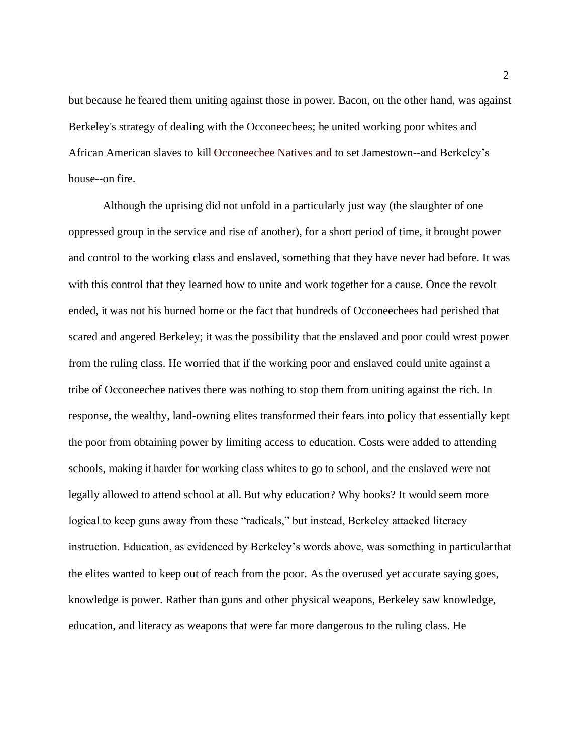but because he feared them uniting against those in power. Bacon, on the other hand, was against Berkeley's strategy of dealing with the Occoneechees; he united working poor whites and African American slaves to kill Occoneechee Natives and to set Jamestown--and Berkeley's house--on fire.

Although the uprising did not unfold in a particularly just way (the slaughter of one oppressed group in the service and rise of another), for a short period of time, it brought power and control to the working class and enslaved, something that they have never had before. It was with this control that they learned how to unite and work together for a cause. Once the revolt ended, it was not his burned home or the fact that hundreds of Occoneechees had perished that scared and angered Berkeley; it was the possibility that the enslaved and poor could wrest power from the ruling class. He worried that if the working poor and enslaved could unite against a tribe of Occoneechee natives there was nothing to stop them from uniting against the rich. In response, the wealthy, land-owning elites transformed their fears into policy that essentially kept the poor from obtaining power by limiting access to education. Costs were added to attending schools, making it harder for working class whites to go to school, and the enslaved were not legally allowed to attend school at all. But why education? Why books? It would seem more logical to keep guns away from these "radicals," but instead, Berkeley attacked literacy instruction. Education, as evidenced by Berkeley's words above, was something in particularthat the elites wanted to keep out of reach from the poor. As the overused yet accurate saying goes, knowledge is power. Rather than guns and other physical weapons, Berkeley saw knowledge, education, and literacy as weapons that were far more dangerous to the ruling class. He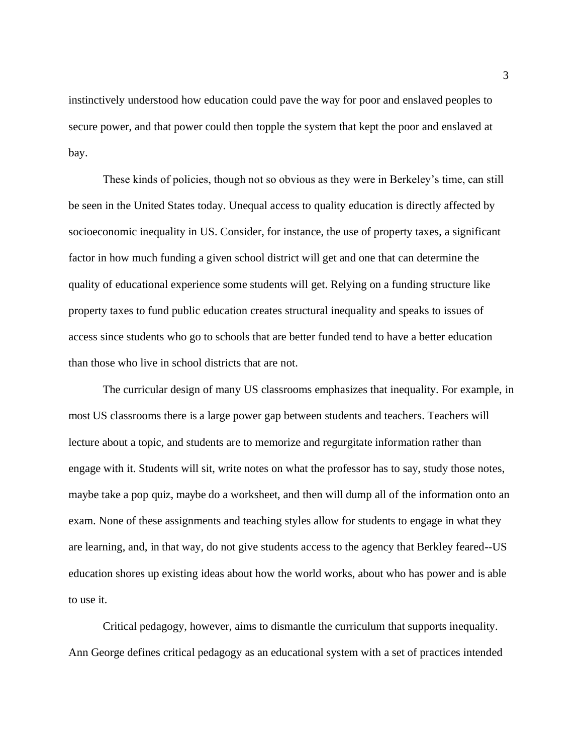instinctively understood how education could pave the way for poor and enslaved peoples to secure power, and that power could then topple the system that kept the poor and enslaved at bay.

These kinds of policies, though not so obvious as they were in Berkeley's time, can still be seen in the United States today. Unequal access to quality education is directly affected by socioeconomic inequality in US. Consider, for instance, the use of property taxes, a significant factor in how much funding a given school district will get and one that can determine the quality of educational experience some students will get. Relying on a funding structure like property taxes to fund public education creates structural inequality and speaks to issues of access since students who go to schools that are better funded tend to have a better education than those who live in school districts that are not.

The curricular design of many US classrooms emphasizes that inequality. For example, in most US classrooms there is a large power gap between students and teachers. Teachers will lecture about a topic, and students are to memorize and regurgitate information rather than engage with it. Students will sit, write notes on what the professor has to say, study those notes, maybe take a pop quiz, maybe do a worksheet, and then will dump all of the information onto an exam. None of these assignments and teaching styles allow for students to engage in what they are learning, and, in that way, do not give students access to the agency that Berkley feared--US education shores up existing ideas about how the world works, about who has power and is able to use it.

Critical pedagogy, however, aims to dismantle the curriculum that supports inequality. Ann George defines critical pedagogy as an educational system with a set of practices intended

3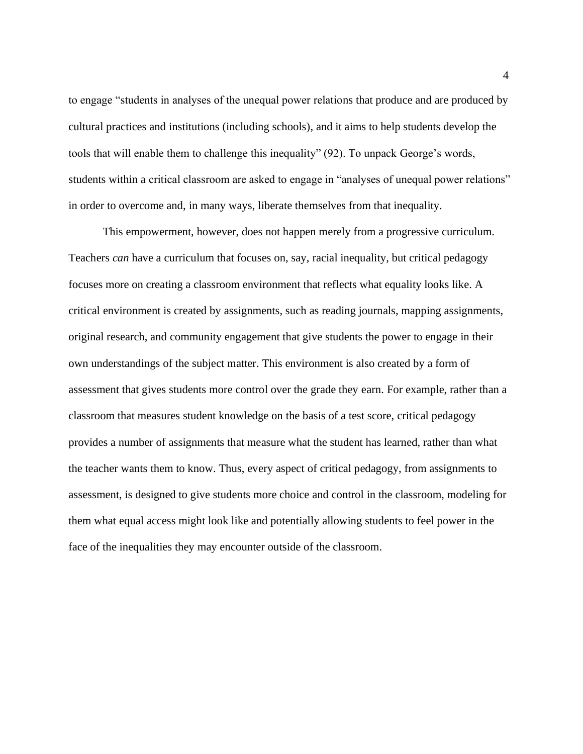to engage "students in analyses of the unequal power relations that produce and are produced by cultural practices and institutions (including schools), and it aims to help students develop the tools that will enable them to challenge this inequality" (92). To unpack George's words, students within a critical classroom are asked to engage in "analyses of unequal power relations" in order to overcome and, in many ways, liberate themselves from that inequality.

This empowerment, however, does not happen merely from a progressive curriculum. Teachers *can* have a curriculum that focuses on, say, racial inequality, but critical pedagogy focuses more on creating a classroom environment that reflects what equality looks like. A critical environment is created by assignments, such as reading journals, mapping assignments, original research, and community engagement that give students the power to engage in their own understandings of the subject matter. This environment is also created by a form of assessment that gives students more control over the grade they earn. For example, rather than a classroom that measures student knowledge on the basis of a test score, critical pedagogy provides a number of assignments that measure what the student has learned, rather than what the teacher wants them to know. Thus, every aspect of critical pedagogy, from assignments to assessment, is designed to give students more choice and control in the classroom, modeling for them what equal access might look like and potentially allowing students to feel power in the face of the inequalities they may encounter outside of the classroom.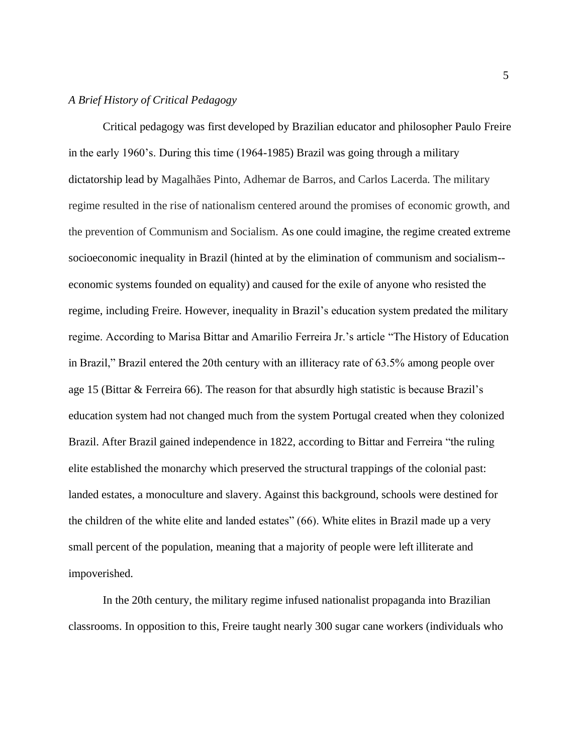#### *A Brief History of Critical Pedagogy*

Critical pedagogy was first developed by Brazilian educator and philosopher Paulo Freire in the early 1960's. During this time (1964-1985) Brazil was going through a military dictatorship lead by Magalhães Pinto, Adhemar de Barros, and Carlos Lacerda. The military regime resulted in the rise of nationalism centered around the promises of economic growth, and the prevention of Communism and Socialism. As one could imagine, the regime created extreme socioeconomic inequality in Brazil (hinted at by the elimination of communism and socialism- economic systems founded on equality) and caused for the exile of anyone who resisted the regime, including Freire. However, inequality in Brazil's education system predated the military regime. According to Marisa Bittar and Amarilio Ferreira Jr.'s article "The History of Education in Brazil," Brazil entered the 20th century with an illiteracy rate of 63.5% among people over age 15 (Bittar & Ferreira 66). The reason for that absurdly high statistic is because Brazil's education system had not changed much from the system Portugal created when they colonized Brazil. After Brazil gained independence in 1822, according to Bittar and Ferreira "the ruling elite established the monarchy which preserved the structural trappings of the colonial past: landed estates, a monoculture and slavery. Against this background, schools were destined for the children of the white elite and landed estates" (66). White elites in Brazil made up a very small percent of the population, meaning that a majority of people were left illiterate and impoverished.

In the 20th century, the military regime infused nationalist propaganda into Brazilian classrooms. In opposition to this, Freire taught nearly 300 sugar cane workers (individuals who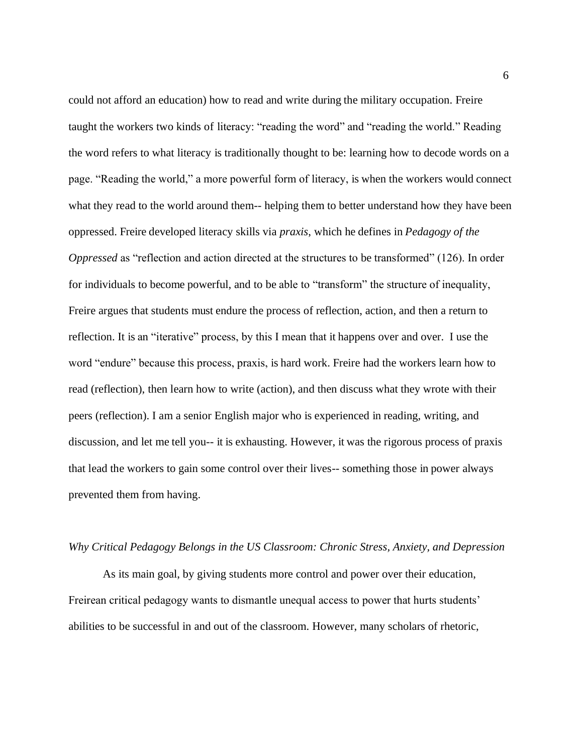could not afford an education) how to read and write during the military occupation. Freire taught the workers two kinds of literacy: "reading the word" and "reading the world." Reading the word refers to what literacy is traditionally thought to be: learning how to decode words on a page. "Reading the world," a more powerful form of literacy, is when the workers would connect what they read to the world around them-- helping them to better understand how they have been oppressed. Freire developed literacy skills via *praxis*, which he defines in *Pedagogy of the Oppressed* as "reflection and action directed at the structures to be transformed" (126). In order for individuals to become powerful, and to be able to "transform" the structure of inequality, Freire argues that students must endure the process of reflection, action, and then a return to reflection. It is an "iterative" process, by this I mean that it happens over and over. I use the word "endure" because this process, praxis, is hard work. Freire had the workers learn how to read (reflection), then learn how to write (action), and then discuss what they wrote with their peers (reflection). I am a senior English major who is experienced in reading, writing, and discussion, and let me tell you-- it is exhausting. However, it was the rigorous process of praxis that lead the workers to gain some control over their lives-- something those in power always prevented them from having.

# *Why Critical Pedagogy Belongs in the US Classroom: Chronic Stress, Anxiety, and Depression*

As its main goal, by giving students more control and power over their education, Freirean critical pedagogy wants to dismantle unequal access to power that hurts students' abilities to be successful in and out of the classroom. However, many scholars of rhetoric,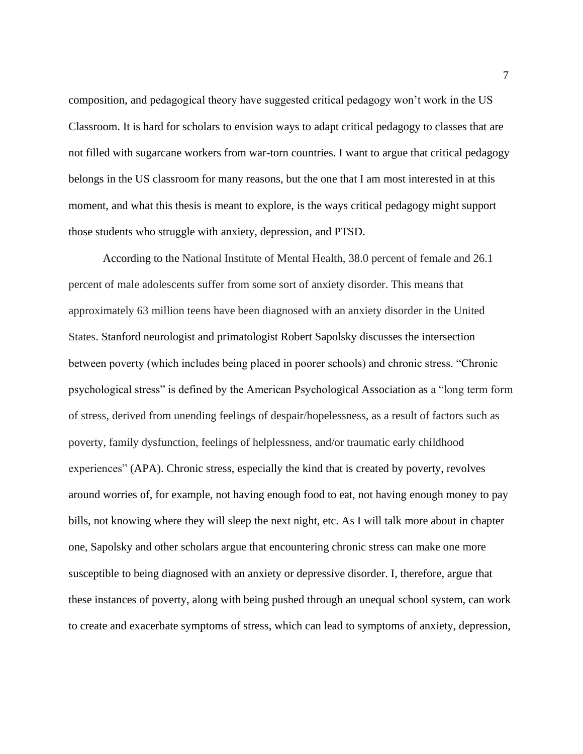composition, and pedagogical theory have suggested critical pedagogy won't work in the US Classroom. It is hard for scholars to envision ways to adapt critical pedagogy to classes that are not filled with sugarcane workers from war-torn countries. I want to argue that critical pedagogy belongs in the US classroom for many reasons, but the one that I am most interested in at this moment, and what this thesis is meant to explore, is the ways critical pedagogy might support those students who struggle with anxiety, depression, and PTSD.

According to the National Institute of Mental Health, 38.0 percent of female and 26.1 percent of male adolescents suffer from some sort of anxiety disorder. This means that approximately 63 million teens have been diagnosed with an anxiety disorder in the United States. Stanford neurologist and primatologist Robert Sapolsky discusses the intersection between poverty (which includes being placed in poorer schools) and chronic stress. "Chronic psychological stress" is defined by the American Psychological Association as a "long term form of stress, derived from unending feelings of despair/hopelessness, as a result of factors such as poverty, family dysfunction, feelings of helplessness, and/or traumatic early childhood experiences" (APA). Chronic stress, especially the kind that is created by poverty, revolves around worries of, for example, not having enough food to eat, not having enough money to pay bills, not knowing where they will sleep the next night, etc. As I will talk more about in chapter one, Sapolsky and other scholars argue that encountering chronic stress can make one more susceptible to being diagnosed with an anxiety or depressive disorder. I, therefore, argue that these instances of poverty, along with being pushed through an unequal school system, can work to create and exacerbate symptoms of stress, which can lead to symptoms of anxiety, depression,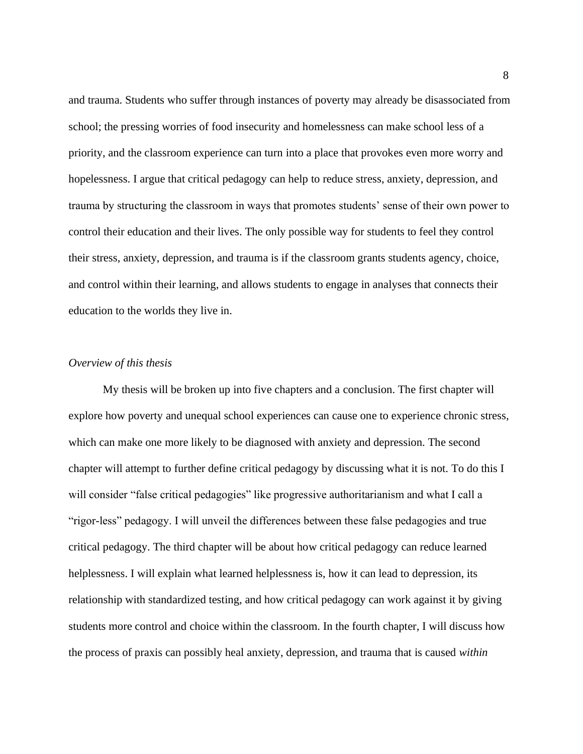and trauma. Students who suffer through instances of poverty may already be disassociated from school; the pressing worries of food insecurity and homelessness can make school less of a priority, and the classroom experience can turn into a place that provokes even more worry and hopelessness. I argue that critical pedagogy can help to reduce stress, anxiety, depression, and trauma by structuring the classroom in ways that promotes students' sense of their own power to control their education and their lives. The only possible way for students to feel they control their stress, anxiety, depression, and trauma is if the classroom grants students agency, choice, and control within their learning, and allows students to engage in analyses that connects their education to the worlds they live in.

#### *Overview of this thesis*

My thesis will be broken up into five chapters and a conclusion. The first chapter will explore how poverty and unequal school experiences can cause one to experience chronic stress, which can make one more likely to be diagnosed with anxiety and depression. The second chapter will attempt to further define critical pedagogy by discussing what it is not. To do this I will consider "false critical pedagogies" like progressive authoritarianism and what I call a "rigor-less" pedagogy. I will unveil the differences between these false pedagogies and true critical pedagogy. The third chapter will be about how critical pedagogy can reduce learned helplessness. I will explain what learned helplessness is, how it can lead to depression, its relationship with standardized testing, and how critical pedagogy can work against it by giving students more control and choice within the classroom. In the fourth chapter, I will discuss how the process of praxis can possibly heal anxiety, depression, and trauma that is caused *within*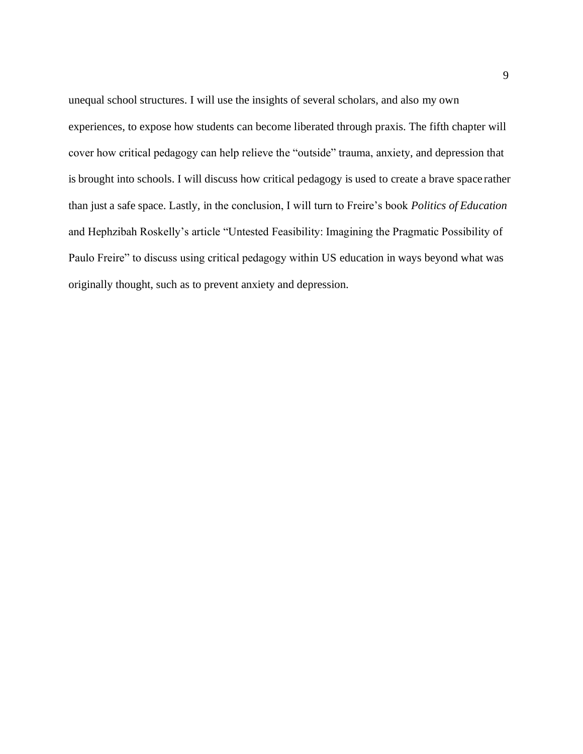unequal school structures. I will use the insights of several scholars, and also my own experiences, to expose how students can become liberated through praxis. The fifth chapter will cover how critical pedagogy can help relieve the "outside" trauma, anxiety, and depression that is brought into schools. I will discuss how critical pedagogy is used to create a brave space rather than just a safe space. Lastly, in the conclusion, I will turn to Freire's book *Politics of Education*  and Hephzibah Roskelly's article "Untested Feasibility: Imagining the Pragmatic Possibility of Paulo Freire" to discuss using critical pedagogy within US education in ways beyond what was originally thought, such as to prevent anxiety and depression.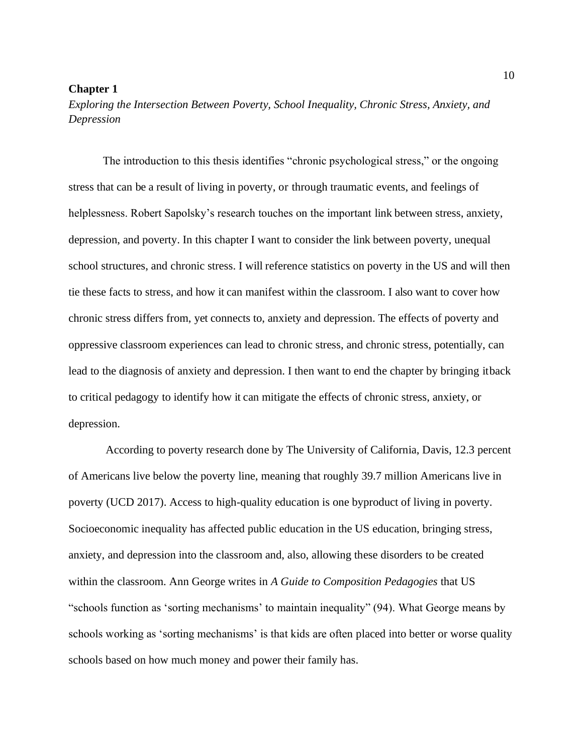#### **Chapter 1**

*Exploring the Intersection Between Poverty, School Inequality, Chronic Stress, Anxiety, and Depression*

The introduction to this thesis identifies "chronic psychological stress," or the ongoing stress that can be a result of living in poverty, or through traumatic events, and feelings of helplessness. Robert Sapolsky's research touches on the important link between stress, anxiety, depression, and poverty. In this chapter I want to consider the link between poverty, unequal school structures, and chronic stress. I will reference statistics on poverty in the US and will then tie these facts to stress, and how it can manifest within the classroom. I also want to cover how chronic stress differs from, yet connects to, anxiety and depression. The effects of poverty and oppressive classroom experiences can lead to chronic stress, and chronic stress, potentially, can lead to the diagnosis of anxiety and depression. I then want to end the chapter by bringing itback to critical pedagogy to identify how it can mitigate the effects of chronic stress, anxiety, or depression.

According to poverty research done by The University of California, Davis, 12.3 percent of Americans live below the poverty line, meaning that roughly 39.7 million Americans live in poverty (UCD 2017). Access to high-quality education is one byproduct of living in poverty. Socioeconomic inequality has affected public education in the US education, bringing stress, anxiety, and depression into the classroom and, also, allowing these disorders to be created within the classroom. Ann George writes in *A Guide to Composition Pedagogies* that US "schools function as 'sorting mechanisms' to maintain inequality" (94). What George means by schools working as 'sorting mechanisms' is that kids are often placed into better or worse quality schools based on how much money and power their family has.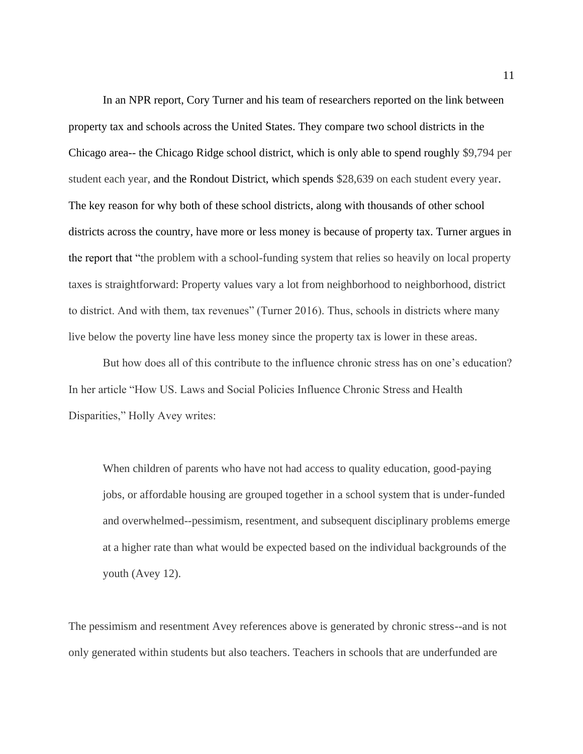In an NPR report, Cory Turner and his team of researchers reported on the link between property tax and schools across the United States. They compare two school districts in the Chicago area-- the Chicago Ridge school district, which is only able to spend roughly \$9,794 per student each year, and the Rondout District, which spends \$28,639 on each student every year. The key reason for why both of these school districts, along with thousands of other school districts across the country, have more or less money is because of property tax. Turner argues in the report that "the problem with a school-funding system that relies so heavily on local property taxes is straightforward: Property values vary a lot from neighborhood to neighborhood, district to district. And with them, tax revenues" (Turner 2016). Thus, schools in districts where many live below the poverty line have less money since the property tax is lower in these areas.

But how does all of this contribute to the influence chronic stress has on one's education? In her article "How US. Laws and Social Policies Influence Chronic Stress and Health Disparities," Holly Avey writes:

When children of parents who have not had access to quality education, good-paying jobs, or affordable housing are grouped together in a school system that is under-funded and overwhelmed--pessimism, resentment, and subsequent disciplinary problems emerge at a higher rate than what would be expected based on the individual backgrounds of the youth (Avey 12).

The pessimism and resentment Avey references above is generated by chronic stress--and is not only generated within students but also teachers. Teachers in schools that are underfunded are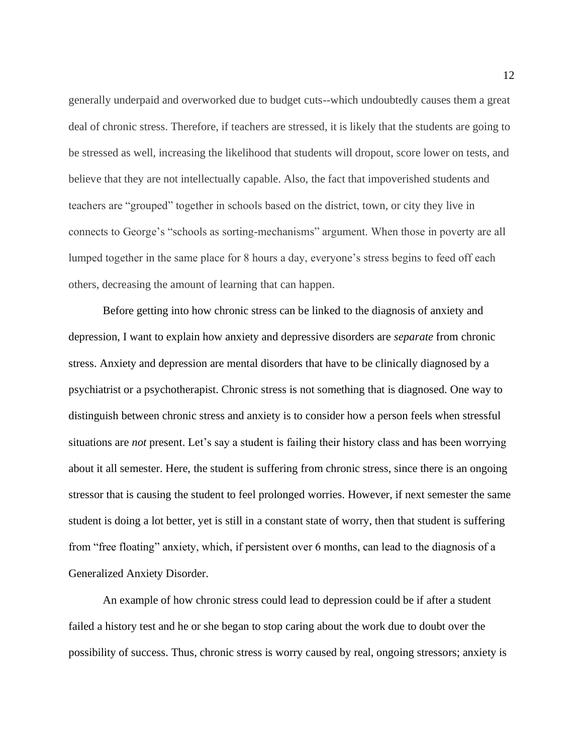generally underpaid and overworked due to budget cuts--which undoubtedly causes them a great deal of chronic stress. Therefore, if teachers are stressed, it is likely that the students are going to be stressed as well, increasing the likelihood that students will dropout, score lower on tests, and believe that they are not intellectually capable. Also, the fact that impoverished students and teachers are "grouped" together in schools based on the district, town, or city they live in connects to George's "schools as sorting-mechanisms" argument. When those in poverty are all lumped together in the same place for 8 hours a day, everyone's stress begins to feed off each others, decreasing the amount of learning that can happen.

Before getting into how chronic stress can be linked to the diagnosis of anxiety and depression, I want to explain how anxiety and depressive disorders are *separate* from chronic stress. Anxiety and depression are mental disorders that have to be clinically diagnosed by a psychiatrist or a psychotherapist. Chronic stress is not something that is diagnosed. One way to distinguish between chronic stress and anxiety is to consider how a person feels when stressful situations are *not* present. Let's say a student is failing their history class and has been worrying about it all semester. Here, the student is suffering from chronic stress, since there is an ongoing stressor that is causing the student to feel prolonged worries. However, if next semester the same student is doing a lot better, yet is still in a constant state of worry, then that student is suffering from "free floating" anxiety, which, if persistent over 6 months, can lead to the diagnosis of a Generalized Anxiety Disorder.

An example of how chronic stress could lead to depression could be if after a student failed a history test and he or she began to stop caring about the work due to doubt over the possibility of success. Thus, chronic stress is worry caused by real, ongoing stressors; anxiety is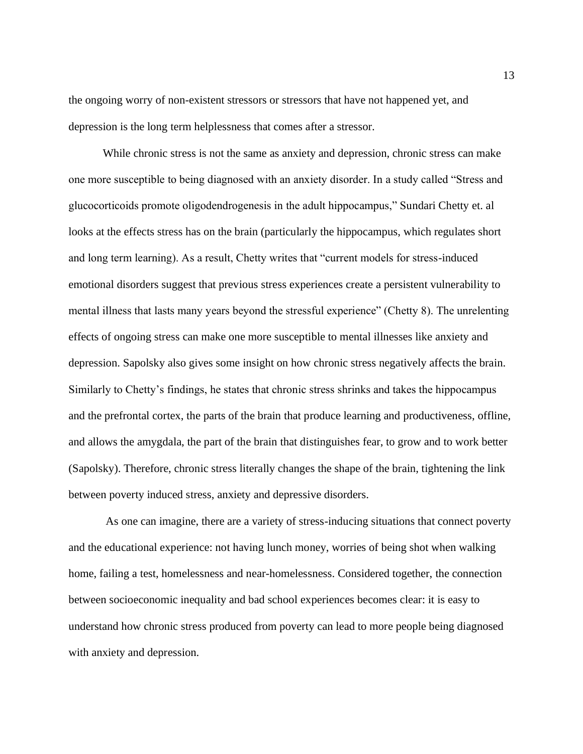the ongoing worry of non-existent stressors or stressors that have not happened yet, and depression is the long term helplessness that comes after a stressor.

While chronic stress is not the same as anxiety and depression, chronic stress can make one more susceptible to being diagnosed with an anxiety disorder. In a study called "Stress and glucocorticoids promote oligodendrogenesis in the adult hippocampus," Sundari Chetty et. al looks at the effects stress has on the brain (particularly the hippocampus, which regulates short and long term learning). As a result, Chetty writes that "current models for stress-induced emotional disorders suggest that previous stress experiences create a persistent vulnerability to mental illness that lasts many years beyond the stressful experience" (Chetty 8). The unrelenting effects of ongoing stress can make one more susceptible to mental illnesses like anxiety and depression. Sapolsky also gives some insight on how chronic stress negatively affects the brain. Similarly to Chetty's findings, he states that chronic stress shrinks and takes the hippocampus and the prefrontal cortex, the parts of the brain that produce learning and productiveness, offline, and allows the amygdala, the part of the brain that distinguishes fear, to grow and to work better (Sapolsky). Therefore, chronic stress literally changes the shape of the brain, tightening the link between poverty induced stress, anxiety and depressive disorders.

As one can imagine, there are a variety of stress-inducing situations that connect poverty and the educational experience: not having lunch money, worries of being shot when walking home, failing a test, homelessness and near-homelessness. Considered together, the connection between socioeconomic inequality and bad school experiences becomes clear: it is easy to understand how chronic stress produced from poverty can lead to more people being diagnosed with anxiety and depression.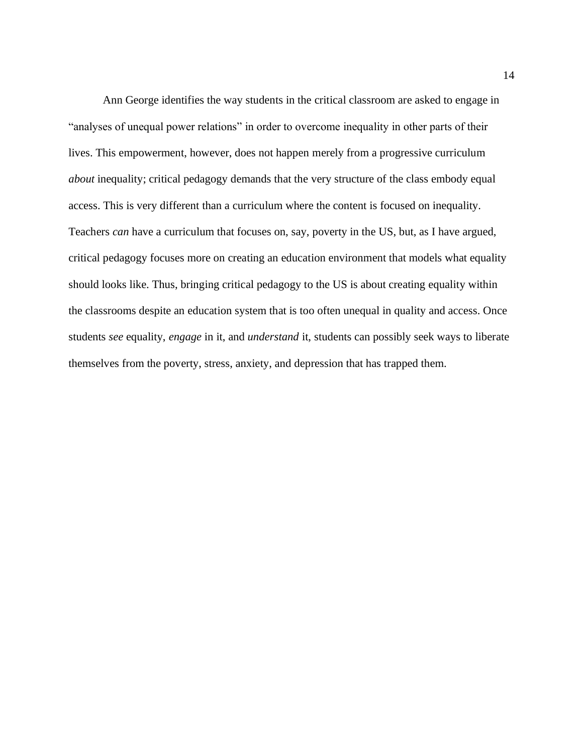Ann George identifies the way students in the critical classroom are asked to engage in "analyses of unequal power relations" in order to overcome inequality in other parts of their lives. This empowerment, however, does not happen merely from a progressive curriculum *about* inequality; critical pedagogy demands that the very structure of the class embody equal access. This is very different than a curriculum where the content is focused on inequality. Teachers *can* have a curriculum that focuses on, say, poverty in the US, but, as I have argued, critical pedagogy focuses more on creating an education environment that models what equality should looks like. Thus, bringing critical pedagogy to the US is about creating equality within the classrooms despite an education system that is too often unequal in quality and access. Once students *see* equality, *engage* in it, and *understand* it, students can possibly seek ways to liberate themselves from the poverty, stress, anxiety, and depression that has trapped them.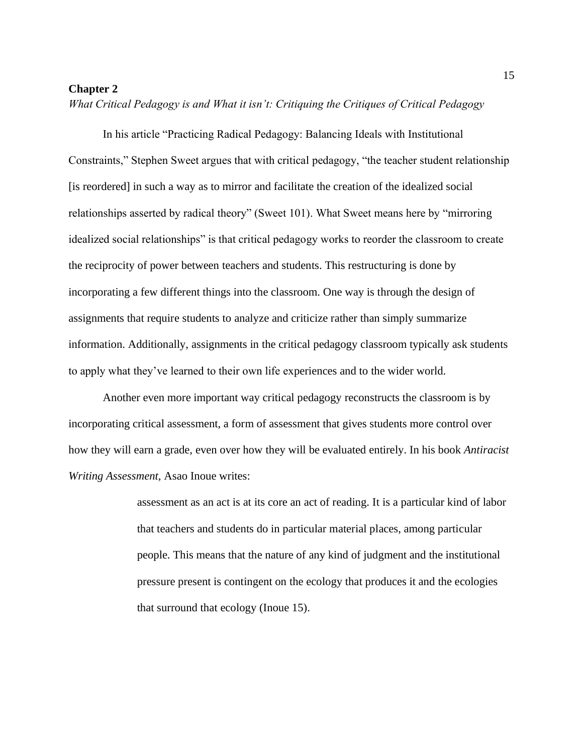### **Chapter 2**

*What Critical Pedagogy is and What it isn't: Critiquing the Critiques of Critical Pedagogy*

In his article "Practicing Radical Pedagogy: Balancing Ideals with Institutional Constraints," Stephen Sweet argues that with critical pedagogy, "the teacher student relationship [is reordered] in such a way as to mirror and facilitate the creation of the idealized social relationships asserted by radical theory" (Sweet 101). What Sweet means here by "mirroring idealized social relationships" is that critical pedagogy works to reorder the classroom to create the reciprocity of power between teachers and students. This restructuring is done by incorporating a few different things into the classroom. One way is through the design of assignments that require students to analyze and criticize rather than simply summarize information. Additionally, assignments in the critical pedagogy classroom typically ask students to apply what they've learned to their own life experiences and to the wider world.

Another even more important way critical pedagogy reconstructs the classroom is by incorporating critical assessment, a form of assessment that gives students more control over how they will earn a grade, even over how they will be evaluated entirely. In his book *Antiracist Writing Assessment,* Asao Inoue writes:

> assessment as an act is at its core an act of reading. It is a particular kind of labor that teachers and students do in particular material places, among particular people. This means that the nature of any kind of judgment and the institutional pressure present is contingent on the ecology that produces it and the ecologies that surround that ecology (Inoue 15).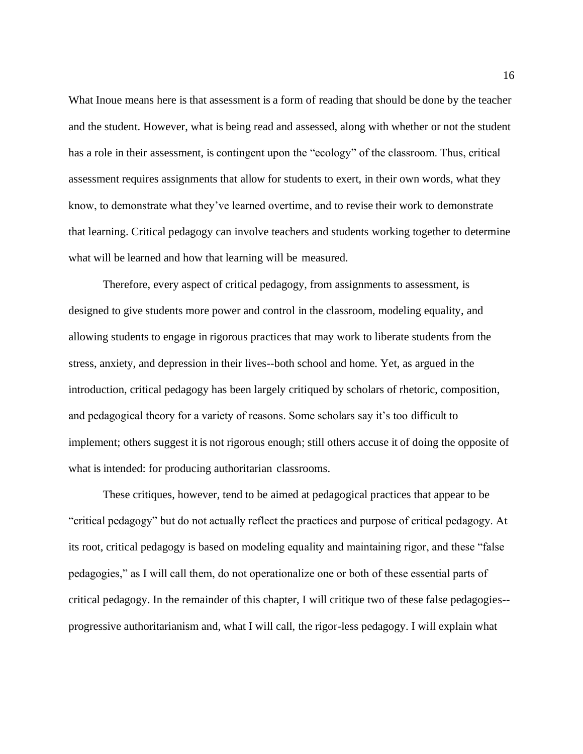What Inoue means here is that assessment is a form of reading that should be done by the teacher and the student. However, what is being read and assessed, along with whether or not the student has a role in their assessment, is contingent upon the "ecology" of the classroom. Thus, critical assessment requires assignments that allow for students to exert, in their own words, what they know, to demonstrate what they've learned overtime, and to revise their work to demonstrate that learning. Critical pedagogy can involve teachers and students working together to determine what will be learned and how that learning will be measured.

Therefore, every aspect of critical pedagogy, from assignments to assessment, is designed to give students more power and control in the classroom, modeling equality, and allowing students to engage in rigorous practices that may work to liberate students from the stress, anxiety, and depression in their lives--both school and home. Yet, as argued in the introduction, critical pedagogy has been largely critiqued by scholars of rhetoric, composition, and pedagogical theory for a variety of reasons. Some scholars say it's too difficult to implement; others suggest it is not rigorous enough; still others accuse it of doing the opposite of what is intended: for producing authoritarian classrooms.

These critiques, however, tend to be aimed at pedagogical practices that appear to be "critical pedagogy" but do not actually reflect the practices and purpose of critical pedagogy. At its root, critical pedagogy is based on modeling equality and maintaining rigor, and these "false pedagogies," as I will call them, do not operationalize one or both of these essential parts of critical pedagogy. In the remainder of this chapter, I will critique two of these false pedagogies- progressive authoritarianism and, what I will call, the rigor-less pedagogy. I will explain what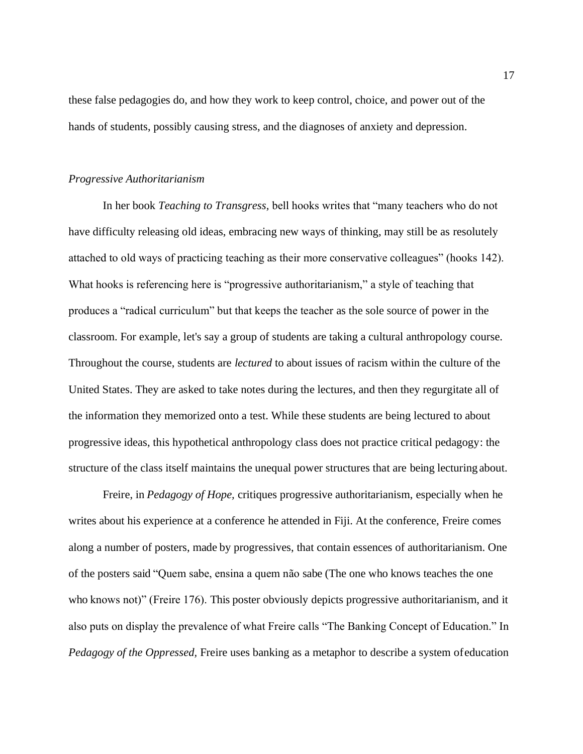these false pedagogies do, and how they work to keep control, choice, and power out of the hands of students, possibly causing stress, and the diagnoses of anxiety and depression.

#### *Progressive Authoritarianism*

In her book *Teaching to Transgress,* bell hooks writes that "many teachers who do not have difficulty releasing old ideas, embracing new ways of thinking, may still be as resolutely attached to old ways of practicing teaching as their more conservative colleagues" (hooks 142). What hooks is referencing here is "progressive authoritarianism," a style of teaching that produces a "radical curriculum" but that keeps the teacher as the sole source of power in the classroom. For example, let's say a group of students are taking a cultural anthropology course. Throughout the course, students are *lectured* to about issues of racism within the culture of the United States. They are asked to take notes during the lectures, and then they regurgitate all of the information they memorized onto a test. While these students are being lectured to about progressive ideas, this hypothetical anthropology class does not practice critical pedagogy: the structure of the class itself maintains the unequal power structures that are being lecturing about.

Freire, in *Pedagogy of Hope,* critiques progressive authoritarianism, especially when he writes about his experience at a conference he attended in Fiji. At the conference, Freire comes along a number of posters, made by progressives, that contain essences of authoritarianism. One of the posters said "Quem sabe, ensina a quem não sabe (The one who knows teaches the one who knows not)" (Freire 176). This poster obviously depicts progressive authoritarianism, and it also puts on display the prevalence of what Freire calls "The Banking Concept of Education." In *Pedagogy of the Oppressed,* Freire uses banking as a metaphor to describe a system ofeducation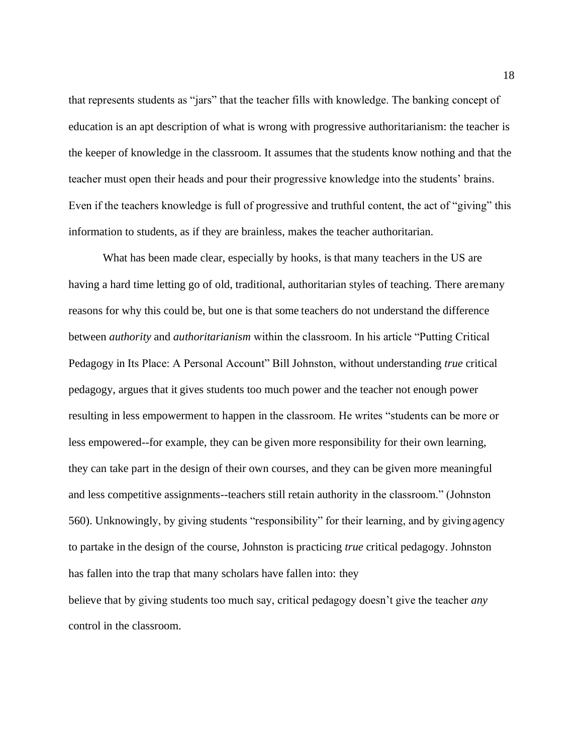that represents students as "jars" that the teacher fills with knowledge. The banking concept of education is an apt description of what is wrong with progressive authoritarianism: the teacher is the keeper of knowledge in the classroom. It assumes that the students know nothing and that the teacher must open their heads and pour their progressive knowledge into the students' brains. Even if the teachers knowledge is full of progressive and truthful content, the act of "giving" this information to students, as if they are brainless, makes the teacher authoritarian.

What has been made clear, especially by hooks, is that many teachers in the US are having a hard time letting go of old, traditional, authoritarian styles of teaching. There aremany reasons for why this could be, but one is that some teachers do not understand the difference between *authority* and *authoritarianism* within the classroom. In his article "Putting Critical Pedagogy in Its Place: A Personal Account" Bill Johnston, without understanding *true* critical pedagogy, argues that it gives students too much power and the teacher not enough power resulting in less empowerment to happen in the classroom. He writes "students can be more or less empowered--for example, they can be given more responsibility for their own learning, they can take part in the design of their own courses, and they can be given more meaningful and less competitive assignments--teachers still retain authority in the classroom." (Johnston 560). Unknowingly, by giving students "responsibility" for their learning, and by givingagency to partake in the design of the course, Johnston is practicing *true* critical pedagogy. Johnston has fallen into the trap that many scholars have fallen into: they

believe that by giving students too much say, critical pedagogy doesn't give the teacher *any* control in the classroom.

18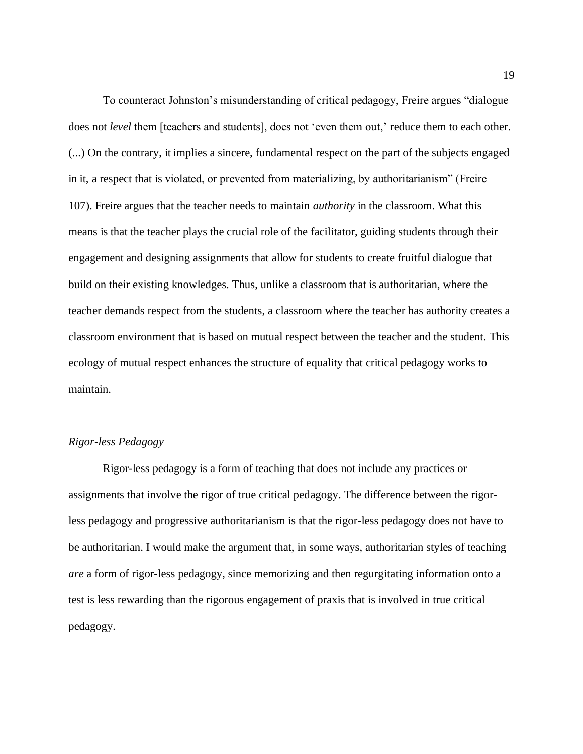To counteract Johnston's misunderstanding of critical pedagogy, Freire argues "dialogue does not *level* them [teachers and students], does not 'even them out,' reduce them to each other. (...) On the contrary, it implies a sincere, fundamental respect on the part of the subjects engaged in it, a respect that is violated, or prevented from materializing, by authoritarianism" (Freire 107). Freire argues that the teacher needs to maintain *authority* in the classroom. What this means is that the teacher plays the crucial role of the facilitator, guiding students through their engagement and designing assignments that allow for students to create fruitful dialogue that build on their existing knowledges. Thus, unlike a classroom that is authoritarian, where the teacher demands respect from the students, a classroom where the teacher has authority creates a classroom environment that is based on mutual respect between the teacher and the student. This ecology of mutual respect enhances the structure of equality that critical pedagogy works to maintain.

#### *Rigor-less Pedagogy*

Rigor-less pedagogy is a form of teaching that does not include any practices or assignments that involve the rigor of true critical pedagogy. The difference between the rigorless pedagogy and progressive authoritarianism is that the rigor-less pedagogy does not have to be authoritarian. I would make the argument that, in some ways, authoritarian styles of teaching *are* a form of rigor-less pedagogy, since memorizing and then regurgitating information onto a test is less rewarding than the rigorous engagement of praxis that is involved in true critical pedagogy.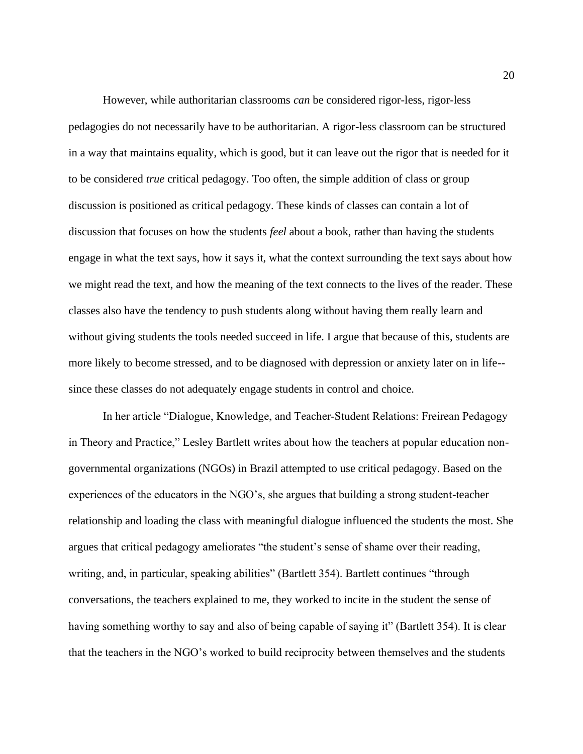However, while authoritarian classrooms *can* be considered rigor-less, rigor-less pedagogies do not necessarily have to be authoritarian. A rigor-less classroom can be structured in a way that maintains equality, which is good, but it can leave out the rigor that is needed for it to be considered *true* critical pedagogy. Too often, the simple addition of class or group discussion is positioned as critical pedagogy. These kinds of classes can contain a lot of discussion that focuses on how the students *feel* about a book, rather than having the students engage in what the text says, how it says it, what the context surrounding the text says about how we might read the text, and how the meaning of the text connects to the lives of the reader. These classes also have the tendency to push students along without having them really learn and without giving students the tools needed succeed in life. I argue that because of this, students are more likely to become stressed, and to be diagnosed with depression or anxiety later on in life- since these classes do not adequately engage students in control and choice.

In her article "Dialogue, Knowledge, and Teacher‐Student Relations: Freirean Pedagogy in Theory and Practice," Lesley Bartlett writes about how the teachers at popular education nongovernmental organizations (NGOs) in Brazil attempted to use critical pedagogy. Based on the experiences of the educators in the NGO's, she argues that building a strong student-teacher relationship and loading the class with meaningful dialogue influenced the students the most. She argues that critical pedagogy ameliorates "the student's sense of shame over their reading, writing, and, in particular, speaking abilities" (Bartlett 354). Bartlett continues "through conversations, the teachers explained to me, they worked to incite in the student the sense of having something worthy to say and also of being capable of saying it" (Bartlett 354). It is clear that the teachers in the NGO's worked to build reciprocity between themselves and the students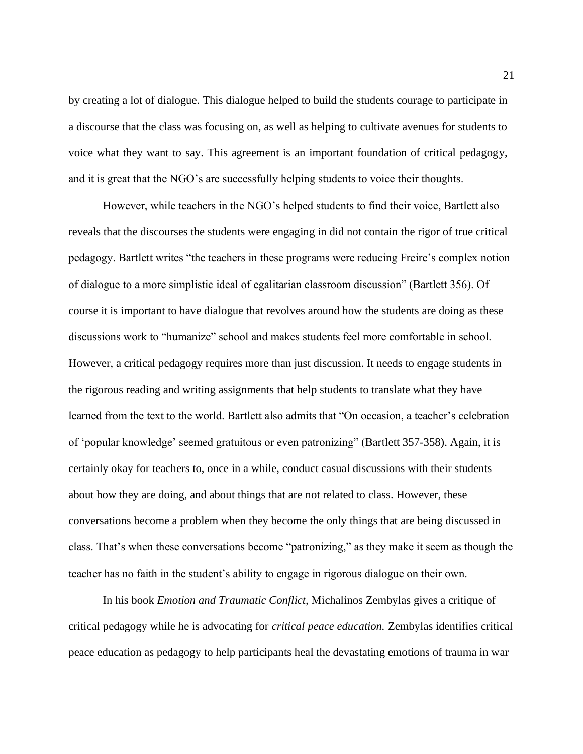by creating a lot of dialogue. This dialogue helped to build the students courage to participate in a discourse that the class was focusing on, as well as helping to cultivate avenues for students to voice what they want to say. This agreement is an important foundation of critical pedagogy, and it is great that the NGO's are successfully helping students to voice their thoughts.

However, while teachers in the NGO's helped students to find their voice, Bartlett also reveals that the discourses the students were engaging in did not contain the rigor of true critical pedagogy. Bartlett writes "the teachers in these programs were reducing Freire's complex notion of dialogue to a more simplistic ideal of egalitarian classroom discussion" (Bartlett 356). Of course it is important to have dialogue that revolves around how the students are doing as these discussions work to "humanize" school and makes students feel more comfortable in school. However, a critical pedagogy requires more than just discussion. It needs to engage students in the rigorous reading and writing assignments that help students to translate what they have learned from the text to the world. Bartlett also admits that "On occasion, a teacher's celebration of 'popular knowledge' seemed gratuitous or even patronizing" (Bartlett 357-358). Again, it is certainly okay for teachers to, once in a while, conduct casual discussions with their students about how they are doing, and about things that are not related to class. However, these conversations become a problem when they become the only things that are being discussed in class. That's when these conversations become "patronizing," as they make it seem as though the teacher has no faith in the student's ability to engage in rigorous dialogue on their own.

In his book *Emotion and Traumatic Conflict,* Michalinos Zembylas gives a critique of critical pedagogy while he is advocating for *critical peace education.* Zembylas identifies critical peace education as pedagogy to help participants heal the devastating emotions of trauma in war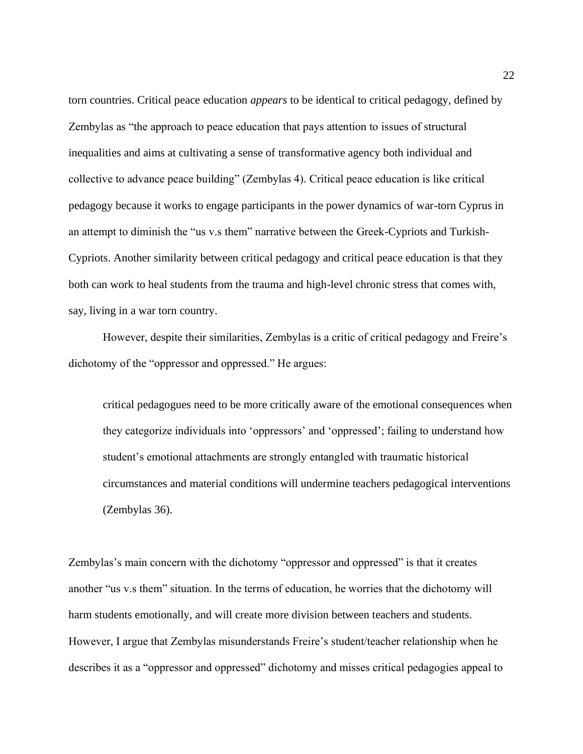torn countries. Critical peace education *appears* to be identical to critical pedagogy, defined by Zembylas as "the approach to peace education that pays attention to issues of structural inequalities and aims at cultivating a sense of transformative agency both individual and collective to advance peace building" (Zembylas 4). Critical peace education is like critical pedagogy because it works to engage participants in the power dynamics of war-torn Cyprus in an attempt to diminish the "us v.s them" narrative between the Greek-Cypriots and Turkish-Cypriots. Another similarity between critical pedagogy and critical peace education is that they both can work to heal students from the trauma and high-level chronic stress that comes with, say, living in a war torn country.

However, despite their similarities, Zembylas is a critic of critical pedagogy and Freire's dichotomy of the "oppressor and oppressed." He argues:

critical pedagogues need to be more critically aware of the emotional consequences when they categorize individuals into 'oppressors' and 'oppressed'; failing to understand how student's emotional attachments are strongly entangled with traumatic historical circumstances and material conditions will undermine teachers pedagogical interventions (Zembylas 36).

Zembylas's main concern with the dichotomy "oppressor and oppressed" is that it creates another "us v.s them" situation. In the terms of education, he worries that the dichotomy will harm students emotionally, and will create more division between teachers and students. However, I argue that Zembylas misunderstands Freire's student/teacher relationship when he describes it as a "oppressor and oppressed" dichotomy and misses critical pedagogies appeal to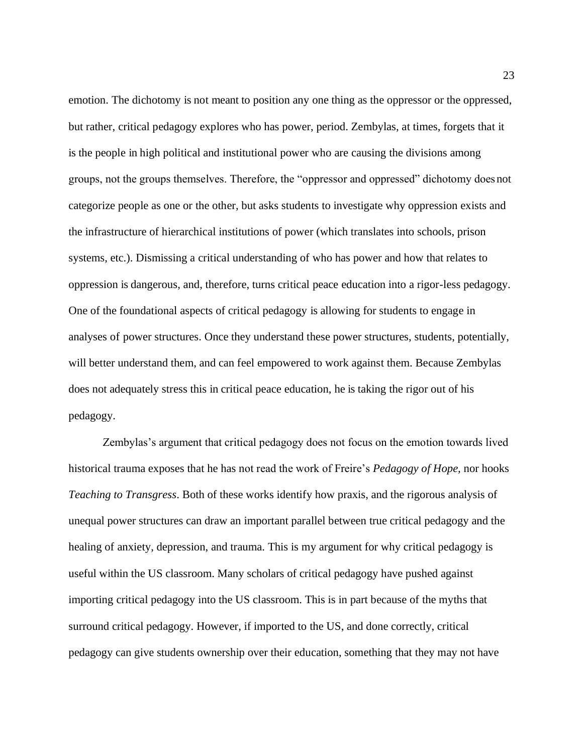emotion. The dichotomy is not meant to position any one thing as the oppressor or the oppressed, but rather, critical pedagogy explores who has power, period. Zembylas, at times, forgets that it is the people in high political and institutional power who are causing the divisions among groups, not the groups themselves. Therefore, the "oppressor and oppressed" dichotomy doesnot categorize people as one or the other, but asks students to investigate why oppression exists and the infrastructure of hierarchical institutions of power (which translates into schools, prison systems, etc.). Dismissing a critical understanding of who has power and how that relates to oppression is dangerous, and, therefore, turns critical peace education into a rigor-less pedagogy. One of the foundational aspects of critical pedagogy is allowing for students to engage in analyses of power structures. Once they understand these power structures, students, potentially, will better understand them, and can feel empowered to work against them. Because Zembylas does not adequately stress this in critical peace education, he is taking the rigor out of his pedagogy.

Zembylas's argument that critical pedagogy does not focus on the emotion towards lived historical trauma exposes that he has not read the work of Freire's *Pedagogy of Hope,* nor hooks *Teaching to Transgress*. Both of these works identify how praxis, and the rigorous analysis of unequal power structures can draw an important parallel between true critical pedagogy and the healing of anxiety, depression, and trauma. This is my argument for why critical pedagogy is useful within the US classroom. Many scholars of critical pedagogy have pushed against importing critical pedagogy into the US classroom. This is in part because of the myths that surround critical pedagogy. However, if imported to the US, and done correctly, critical pedagogy can give students ownership over their education, something that they may not have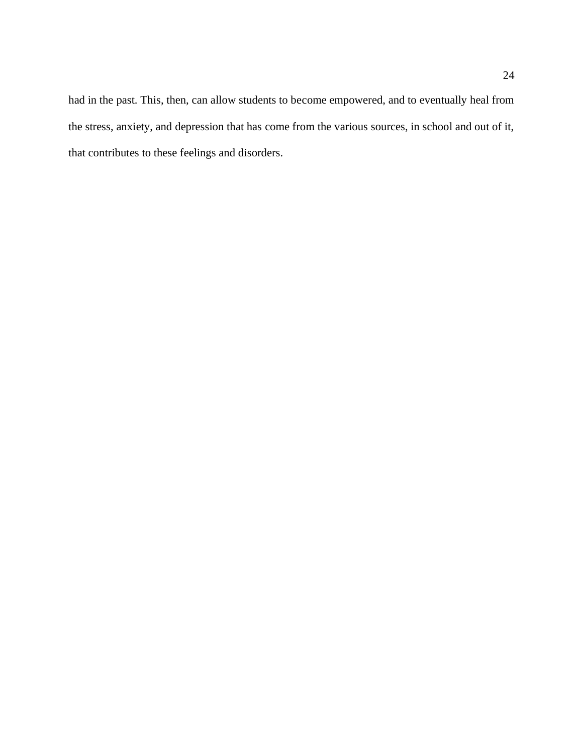had in the past. This, then, can allow students to become empowered, and to eventually heal from the stress, anxiety, and depression that has come from the various sources, in school and out of it, that contributes to these feelings and disorders.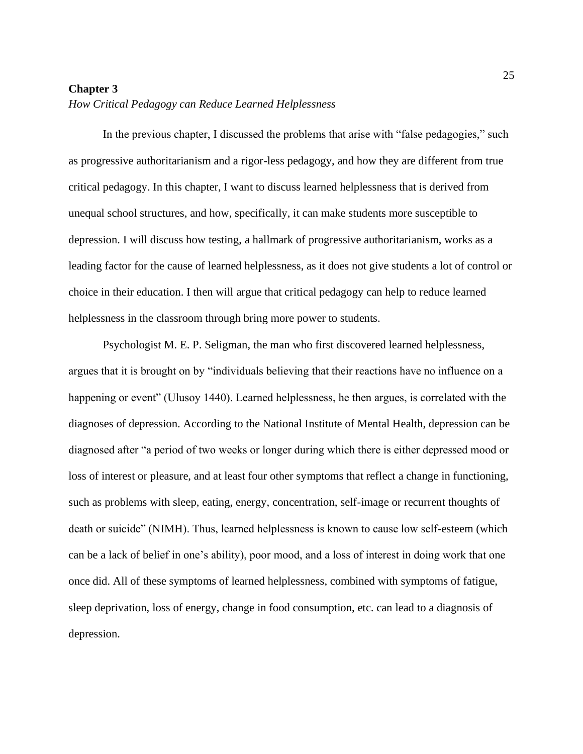#### **Chapter 3**

#### *How Critical Pedagogy can Reduce Learned Helplessness*

In the previous chapter, I discussed the problems that arise with "false pedagogies," such as progressive authoritarianism and a rigor-less pedagogy, and how they are different from true critical pedagogy. In this chapter, I want to discuss learned helplessness that is derived from unequal school structures, and how, specifically, it can make students more susceptible to depression. I will discuss how testing, a hallmark of progressive authoritarianism, works as a leading factor for the cause of learned helplessness, as it does not give students a lot of control or choice in their education. I then will argue that critical pedagogy can help to reduce learned helplessness in the classroom through bring more power to students.

Psychologist M. E. P. Seligman, the man who first discovered learned helplessness, argues that it is brought on by "individuals believing that their reactions have no influence on a happening or event" (Ulusoy 1440). Learned helplessness, he then argues, is correlated with the diagnoses of depression. According to the National Institute of Mental Health, depression can be diagnosed after "a period of two weeks or longer during which there is either depressed mood or loss of interest or pleasure, and at least four other symptoms that reflect a change in functioning, such as problems with sleep, eating, energy, concentration, self-image or recurrent thoughts of death or suicide" (NIMH). Thus, learned helplessness is known to cause low self-esteem (which can be a lack of belief in one's ability), poor mood, and a loss of interest in doing work that one once did. All of these symptoms of learned helplessness, combined with symptoms of fatigue, sleep deprivation, loss of energy, change in food consumption, etc. can lead to a diagnosis of depression.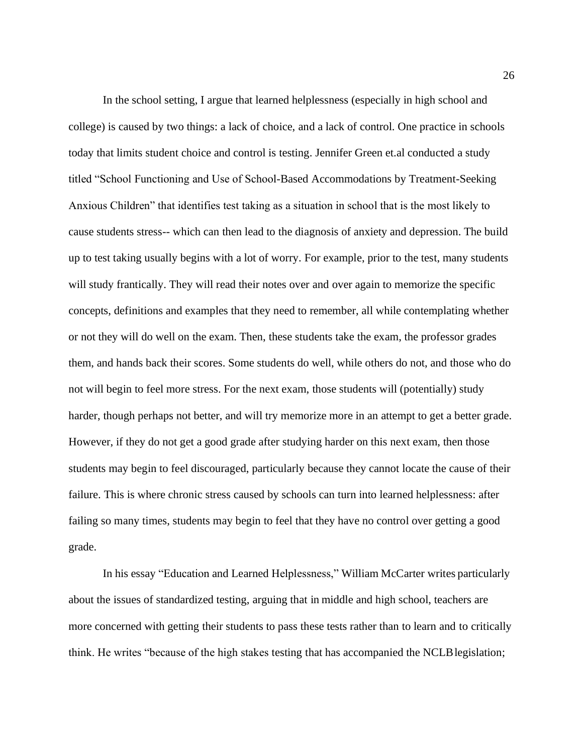In the school setting, I argue that learned helplessness (especially in high school and college) is caused by two things: a lack of choice, and a lack of control. One practice in schools today that limits student choice and control is testing. Jennifer Green et.al conducted a study titled "School Functioning and Use of School-Based Accommodations by Treatment-Seeking Anxious Children" that identifies test taking as a situation in school that is the most likely to cause students stress-- which can then lead to the diagnosis of anxiety and depression. The build up to test taking usually begins with a lot of worry. For example, prior to the test, many students will study frantically. They will read their notes over and over again to memorize the specific concepts, definitions and examples that they need to remember, all while contemplating whether or not they will do well on the exam. Then, these students take the exam, the professor grades them, and hands back their scores. Some students do well, while others do not, and those who do not will begin to feel more stress. For the next exam, those students will (potentially) study harder, though perhaps not better, and will try memorize more in an attempt to get a better grade. However, if they do not get a good grade after studying harder on this next exam, then those students may begin to feel discouraged, particularly because they cannot locate the cause of their failure. This is where chronic stress caused by schools can turn into learned helplessness: after failing so many times, students may begin to feel that they have no control over getting a good grade.

In his essay "Education and Learned Helplessness," William McCarter writes particularly about the issues of standardized testing, arguing that in middle and high school, teachers are more concerned with getting their students to pass these tests rather than to learn and to critically think. He writes "because of the high stakes testing that has accompanied the NCLBlegislation;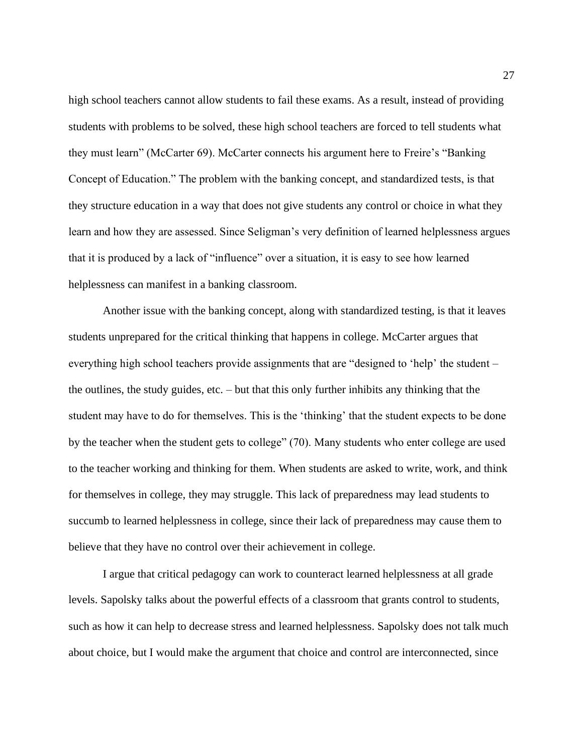high school teachers cannot allow students to fail these exams. As a result, instead of providing students with problems to be solved, these high school teachers are forced to tell students what they must learn" (McCarter 69). McCarter connects his argument here to Freire's "Banking Concept of Education." The problem with the banking concept, and standardized tests, is that they structure education in a way that does not give students any control or choice in what they learn and how they are assessed. Since Seligman's very definition of learned helplessness argues that it is produced by a lack of "influence" over a situation, it is easy to see how learned helplessness can manifest in a banking classroom.

Another issue with the banking concept, along with standardized testing, is that it leaves students unprepared for the critical thinking that happens in college. McCarter argues that everything high school teachers provide assignments that are "designed to 'help' the student – the outlines, the study guides, etc. – but that this only further inhibits any thinking that the student may have to do for themselves. This is the 'thinking' that the student expects to be done by the teacher when the student gets to college" (70). Many students who enter college are used to the teacher working and thinking for them. When students are asked to write, work, and think for themselves in college, they may struggle. This lack of preparedness may lead students to succumb to learned helplessness in college, since their lack of preparedness may cause them to believe that they have no control over their achievement in college.

I argue that critical pedagogy can work to counteract learned helplessness at all grade levels. Sapolsky talks about the powerful effects of a classroom that grants control to students, such as how it can help to decrease stress and learned helplessness. Sapolsky does not talk much about choice, but I would make the argument that choice and control are interconnected, since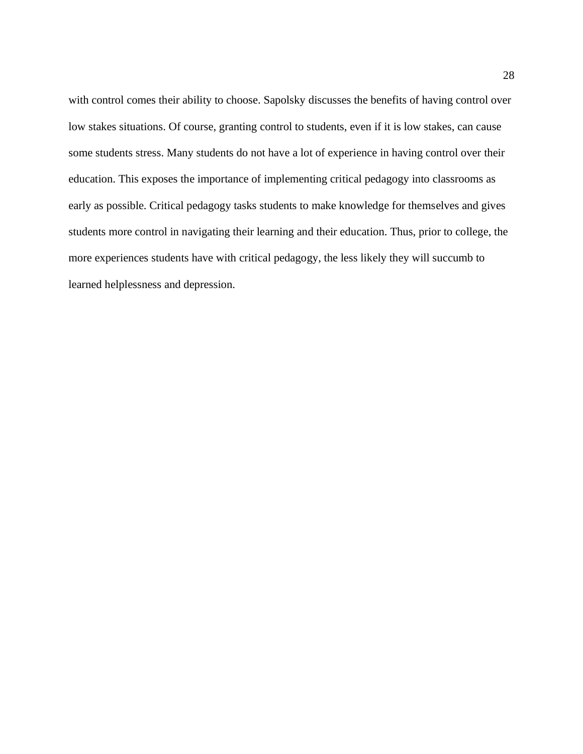with control comes their ability to choose. Sapolsky discusses the benefits of having control over low stakes situations. Of course, granting control to students, even if it is low stakes, can cause some students stress. Many students do not have a lot of experience in having control over their education. This exposes the importance of implementing critical pedagogy into classrooms as early as possible. Critical pedagogy tasks students to make knowledge for themselves and gives students more control in navigating their learning and their education. Thus, prior to college, the more experiences students have with critical pedagogy, the less likely they will succumb to learned helplessness and depression.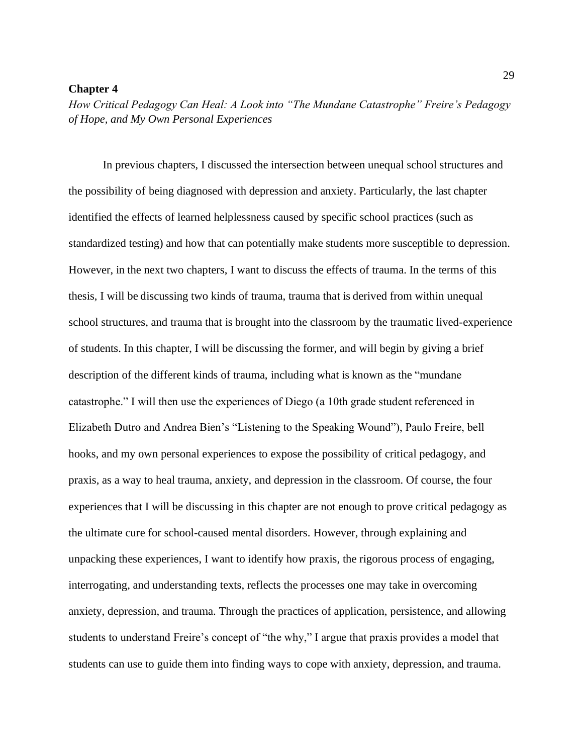#### **Chapter 4**

*How Critical Pedagogy Can Heal: A Look into "The Mundane Catastrophe" Freire's Pedagogy of Hope, and My Own Personal Experiences*

In previous chapters, I discussed the intersection between unequal school structures and the possibility of being diagnosed with depression and anxiety. Particularly, the last chapter identified the effects of learned helplessness caused by specific school practices (such as standardized testing) and how that can potentially make students more susceptible to depression. However, in the next two chapters, I want to discuss the effects of trauma. In the terms of this thesis, I will be discussing two kinds of trauma, trauma that is derived from within unequal school structures, and trauma that is brought into the classroom by the traumatic lived-experience of students. In this chapter, I will be discussing the former, and will begin by giving a brief description of the different kinds of trauma, including what is known as the "mundane catastrophe." I will then use the experiences of Diego (a 10th grade student referenced in Elizabeth Dutro and Andrea Bien's "Listening to the Speaking Wound"), Paulo Freire, bell hooks, and my own personal experiences to expose the possibility of critical pedagogy, and praxis, as a way to heal trauma, anxiety, and depression in the classroom. Of course, the four experiences that I will be discussing in this chapter are not enough to prove critical pedagogy as the ultimate cure for school-caused mental disorders. However, through explaining and unpacking these experiences, I want to identify how praxis, the rigorous process of engaging, interrogating, and understanding texts, reflects the processes one may take in overcoming anxiety, depression, and trauma. Through the practices of application, persistence, and allowing students to understand Freire's concept of "the why," I argue that praxis provides a model that students can use to guide them into finding ways to cope with anxiety, depression, and trauma.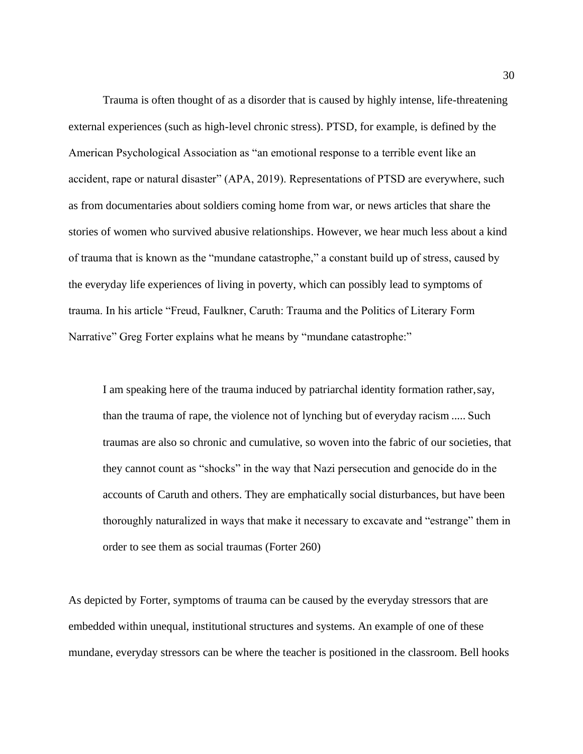Trauma is often thought of as a disorder that is caused by highly intense, life-threatening external experiences (such as high-level chronic stress). PTSD, for example, is defined by the American Psychological Association as "an emotional response to a terrible event like an accident, rape or natural disaster" (APA, 2019). Representations of PTSD are everywhere, such as from documentaries about soldiers coming home from war, or news articles that share the stories of women who survived abusive relationships. However, we hear much less about a kind of trauma that is known as the "mundane catastrophe," a constant build up of stress, caused by the everyday life experiences of living in poverty, which can possibly lead to symptoms of trauma. In his article "Freud, Faulkner, Caruth: Trauma and the Politics of Literary Form Narrative" Greg Forter explains what he means by "mundane catastrophe:"

I am speaking here of the trauma induced by patriarchal identity formation rather,say, than the trauma of rape, the violence not of lynching but of everyday racism ..... Such traumas are also so chronic and cumulative, so woven into the fabric of our societies, that they cannot count as "shocks" in the way that Nazi persecution and genocide do in the accounts of Caruth and others. They are emphatically social disturbances, but have been thoroughly naturalized in ways that make it necessary to excavate and "estrange" them in order to see them as social traumas (Forter 260)

As depicted by Forter, symptoms of trauma can be caused by the everyday stressors that are embedded within unequal, institutional structures and systems. An example of one of these mundane, everyday stressors can be where the teacher is positioned in the classroom. Bell hooks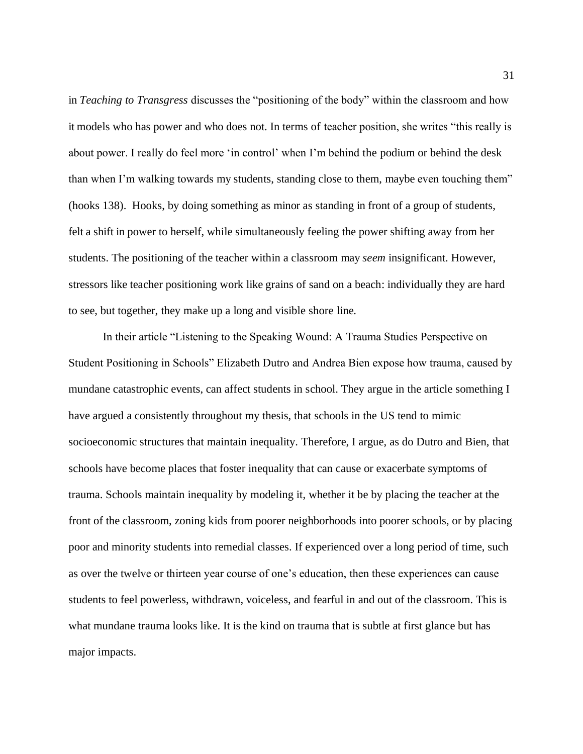in *Teaching to Transgress* discusses the "positioning of the body" within the classroom and how it models who has power and who does not. In terms of teacher position, she writes "this really is about power. I really do feel more 'in control' when I'm behind the podium or behind the desk than when I'm walking towards my students, standing close to them, maybe even touching them" (hooks 138). Hooks, by doing something as minor as standing in front of a group of students, felt a shift in power to herself, while simultaneously feeling the power shifting away from her students. The positioning of the teacher within a classroom may *seem* insignificant. However, stressors like teacher positioning work like grains of sand on a beach: individually they are hard to see, but together, they make up a long and visible shore line.

In their article "Listening to the Speaking Wound: A Trauma Studies Perspective on Student Positioning in Schools" Elizabeth Dutro and Andrea Bien expose how trauma, caused by mundane catastrophic events, can affect students in school. They argue in the article something I have argued a consistently throughout my thesis, that schools in the US tend to mimic socioeconomic structures that maintain inequality. Therefore, I argue, as do Dutro and Bien, that schools have become places that foster inequality that can cause or exacerbate symptoms of trauma. Schools maintain inequality by modeling it, whether it be by placing the teacher at the front of the classroom, zoning kids from poorer neighborhoods into poorer schools, or by placing poor and minority students into remedial classes. If experienced over a long period of time, such as over the twelve or thirteen year course of one's education, then these experiences can cause students to feel powerless, withdrawn, voiceless, and fearful in and out of the classroom. This is what mundane trauma looks like. It is the kind on trauma that is subtle at first glance but has major impacts.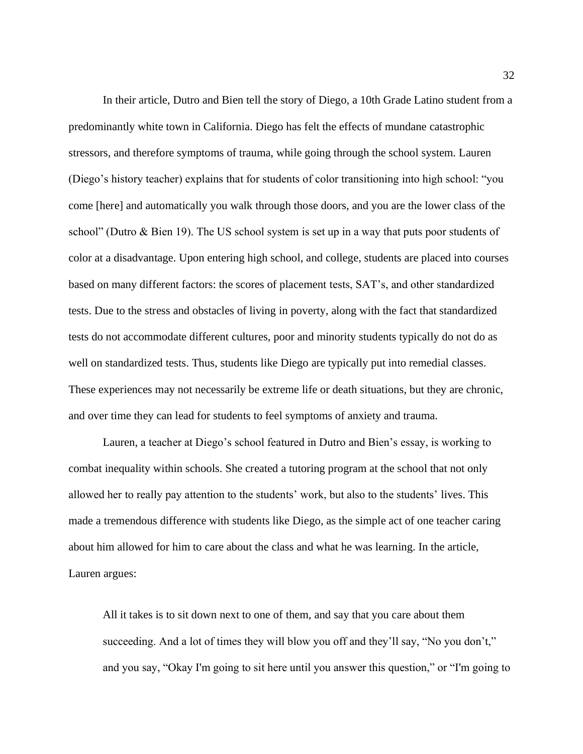In their article, Dutro and Bien tell the story of Diego, a 10th Grade Latino student from a predominantly white town in California. Diego has felt the effects of mundane catastrophic stressors, and therefore symptoms of trauma, while going through the school system. Lauren (Diego's history teacher) explains that for students of color transitioning into high school: "you come [here] and automatically you walk through those doors, and you are the lower class of the school" (Dutro & Bien 19). The US school system is set up in a way that puts poor students of color at a disadvantage. Upon entering high school, and college, students are placed into courses based on many different factors: the scores of placement tests, SAT's, and other standardized tests. Due to the stress and obstacles of living in poverty, along with the fact that standardized tests do not accommodate different cultures, poor and minority students typically do not do as well on standardized tests. Thus, students like Diego are typically put into remedial classes. These experiences may not necessarily be extreme life or death situations, but they are chronic, and over time they can lead for students to feel symptoms of anxiety and trauma.

Lauren, a teacher at Diego's school featured in Dutro and Bien's essay, is working to combat inequality within schools. She created a tutoring program at the school that not only allowed her to really pay attention to the students' work, but also to the students' lives. This made a tremendous difference with students like Diego, as the simple act of one teacher caring about him allowed for him to care about the class and what he was learning. In the article, Lauren argues:

All it takes is to sit down next to one of them, and say that you care about them succeeding. And a lot of times they will blow you off and they'll say, "No you don't," and you say, "Okay I'm going to sit here until you answer this question," or "I'm going to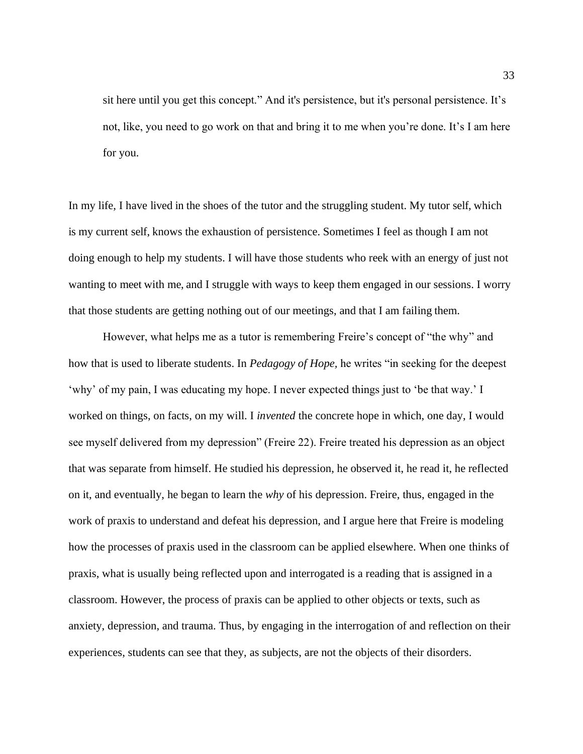sit here until you get this concept." And it's persistence, but it's personal persistence. It's not, like, you need to go work on that and bring it to me when you're done. It's I am here for you.

In my life, I have lived in the shoes of the tutor and the struggling student. My tutor self, which is my current self, knows the exhaustion of persistence. Sometimes I feel as though I am not doing enough to help my students. I will have those students who reek with an energy of just not wanting to meet with me, and I struggle with ways to keep them engaged in our sessions. I worry that those students are getting nothing out of our meetings, and that I am failing them.

However, what helps me as a tutor is remembering Freire's concept of "the why" and how that is used to liberate students. In *Pedagogy of Hope,* he writes "in seeking for the deepest 'why' of my pain, I was educating my hope. I never expected things just to 'be that way.' I worked on things, on facts, on my will. I *invented* the concrete hope in which, one day, I would see myself delivered from my depression" (Freire 22). Freire treated his depression as an object that was separate from himself. He studied his depression, he observed it, he read it, he reflected on it, and eventually, he began to learn the *why* of his depression. Freire, thus, engaged in the work of praxis to understand and defeat his depression, and I argue here that Freire is modeling how the processes of praxis used in the classroom can be applied elsewhere. When one thinks of praxis, what is usually being reflected upon and interrogated is a reading that is assigned in a classroom. However, the process of praxis can be applied to other objects or texts, such as anxiety, depression, and trauma. Thus, by engaging in the interrogation of and reflection on their experiences, students can see that they, as subjects, are not the objects of their disorders.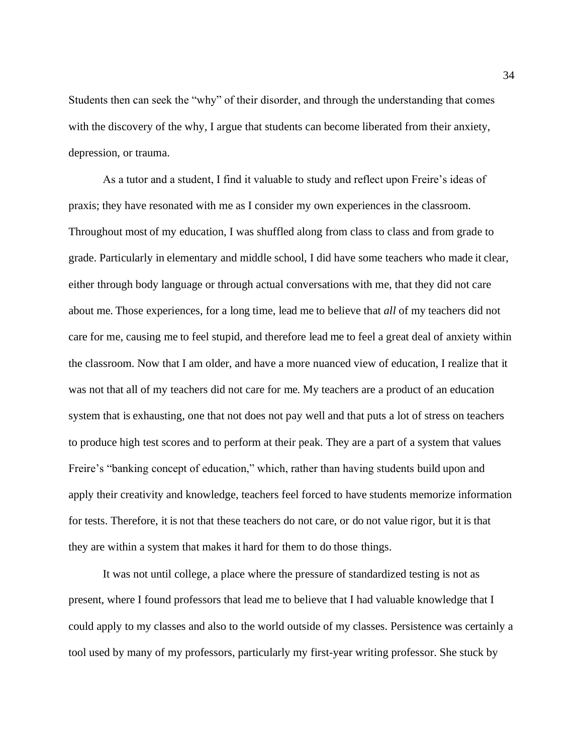Students then can seek the "why" of their disorder, and through the understanding that comes with the discovery of the why, I argue that students can become liberated from their anxiety, depression, or trauma.

As a tutor and a student, I find it valuable to study and reflect upon Freire's ideas of praxis; they have resonated with me as I consider my own experiences in the classroom. Throughout most of my education, I was shuffled along from class to class and from grade to grade. Particularly in elementary and middle school, I did have some teachers who made it clear, either through body language or through actual conversations with me, that they did not care about me. Those experiences, for a long time, lead me to believe that *all* of my teachers did not care for me, causing me to feel stupid, and therefore lead me to feel a great deal of anxiety within the classroom. Now that I am older, and have a more nuanced view of education, I realize that it was not that all of my teachers did not care for me. My teachers are a product of an education system that is exhausting, one that not does not pay well and that puts a lot of stress on teachers to produce high test scores and to perform at their peak. They are a part of a system that values Freire's "banking concept of education," which, rather than having students build upon and apply their creativity and knowledge, teachers feel forced to have students memorize information for tests. Therefore, it is not that these teachers do not care, or do not value rigor, but it is that they are within a system that makes it hard for them to do those things.

It was not until college, a place where the pressure of standardized testing is not as present, where I found professors that lead me to believe that I had valuable knowledge that I could apply to my classes and also to the world outside of my classes. Persistence was certainly a tool used by many of my professors, particularly my first-year writing professor. She stuck by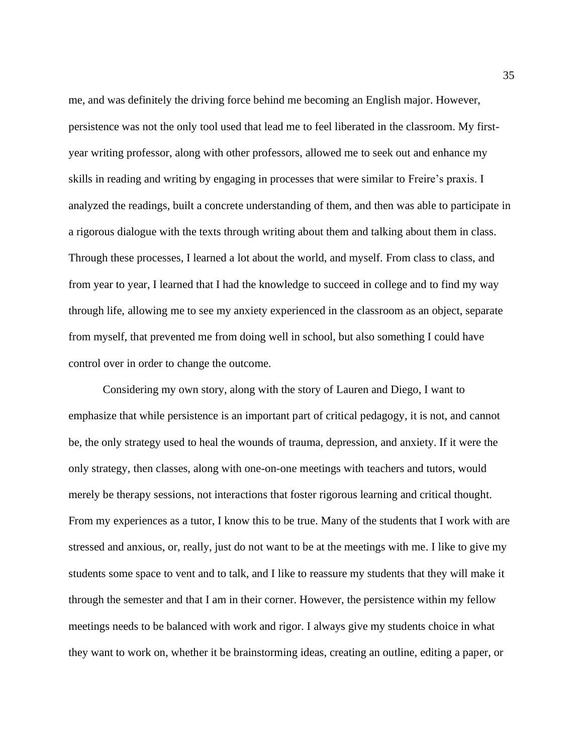me, and was definitely the driving force behind me becoming an English major. However, persistence was not the only tool used that lead me to feel liberated in the classroom. My firstyear writing professor, along with other professors, allowed me to seek out and enhance my skills in reading and writing by engaging in processes that were similar to Freire's praxis. I analyzed the readings, built a concrete understanding of them, and then was able to participate in a rigorous dialogue with the texts through writing about them and talking about them in class. Through these processes, I learned a lot about the world, and myself. From class to class, and from year to year, I learned that I had the knowledge to succeed in college and to find my way through life, allowing me to see my anxiety experienced in the classroom as an object, separate from myself, that prevented me from doing well in school, but also something I could have control over in order to change the outcome.

Considering my own story, along with the story of Lauren and Diego, I want to emphasize that while persistence is an important part of critical pedagogy, it is not, and cannot be, the only strategy used to heal the wounds of trauma, depression, and anxiety. If it were the only strategy, then classes, along with one-on-one meetings with teachers and tutors, would merely be therapy sessions, not interactions that foster rigorous learning and critical thought. From my experiences as a tutor, I know this to be true. Many of the students that I work with are stressed and anxious, or, really, just do not want to be at the meetings with me. I like to give my students some space to vent and to talk, and I like to reassure my students that they will make it through the semester and that I am in their corner. However, the persistence within my fellow meetings needs to be balanced with work and rigor. I always give my students choice in what they want to work on, whether it be brainstorming ideas, creating an outline, editing a paper, or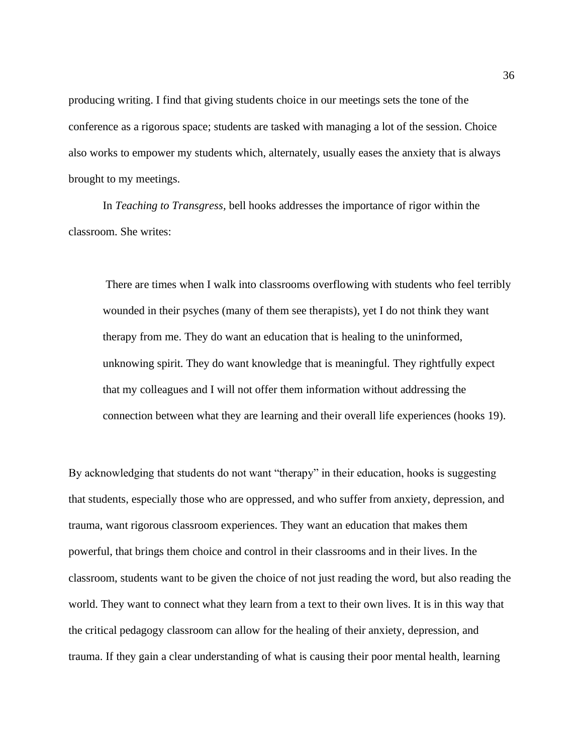producing writing. I find that giving students choice in our meetings sets the tone of the conference as a rigorous space; students are tasked with managing a lot of the session. Choice also works to empower my students which, alternately, usually eases the anxiety that is always brought to my meetings.

In *Teaching to Transgress,* bell hooks addresses the importance of rigor within the classroom. She writes:

There are times when I walk into classrooms overflowing with students who feel terribly wounded in their psyches (many of them see therapists), yet I do not think they want therapy from me. They do want an education that is healing to the uninformed, unknowing spirit. They do want knowledge that is meaningful. They rightfully expect that my colleagues and I will not offer them information without addressing the connection between what they are learning and their overall life experiences (hooks 19).

By acknowledging that students do not want "therapy" in their education, hooks is suggesting that students, especially those who are oppressed, and who suffer from anxiety, depression, and trauma, want rigorous classroom experiences. They want an education that makes them powerful, that brings them choice and control in their classrooms and in their lives. In the classroom, students want to be given the choice of not just reading the word, but also reading the world. They want to connect what they learn from a text to their own lives. It is in this way that the critical pedagogy classroom can allow for the healing of their anxiety, depression, and trauma. If they gain a clear understanding of what is causing their poor mental health, learning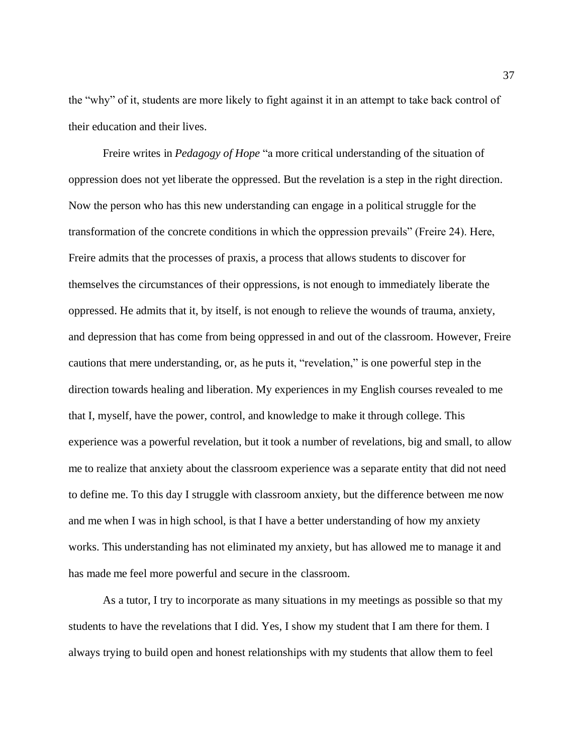the "why" of it, students are more likely to fight against it in an attempt to take back control of their education and their lives.

Freire writes in *Pedagogy of Hope* "a more critical understanding of the situation of oppression does not yet liberate the oppressed. But the revelation is a step in the right direction. Now the person who has this new understanding can engage in a political struggle for the transformation of the concrete conditions in which the oppression prevails" (Freire 24). Here, Freire admits that the processes of praxis, a process that allows students to discover for themselves the circumstances of their oppressions, is not enough to immediately liberate the oppressed. He admits that it, by itself, is not enough to relieve the wounds of trauma, anxiety, and depression that has come from being oppressed in and out of the classroom. However, Freire cautions that mere understanding, or, as he puts it, "revelation," is one powerful step in the direction towards healing and liberation. My experiences in my English courses revealed to me that I, myself, have the power, control, and knowledge to make it through college. This experience was a powerful revelation, but it took a number of revelations, big and small, to allow me to realize that anxiety about the classroom experience was a separate entity that did not need to define me. To this day I struggle with classroom anxiety, but the difference between me now and me when I was in high school, is that I have a better understanding of how my anxiety works. This understanding has not eliminated my anxiety, but has allowed me to manage it and has made me feel more powerful and secure in the classroom.

As a tutor, I try to incorporate as many situations in my meetings as possible so that my students to have the revelations that I did. Yes, I show my student that I am there for them. I always trying to build open and honest relationships with my students that allow them to feel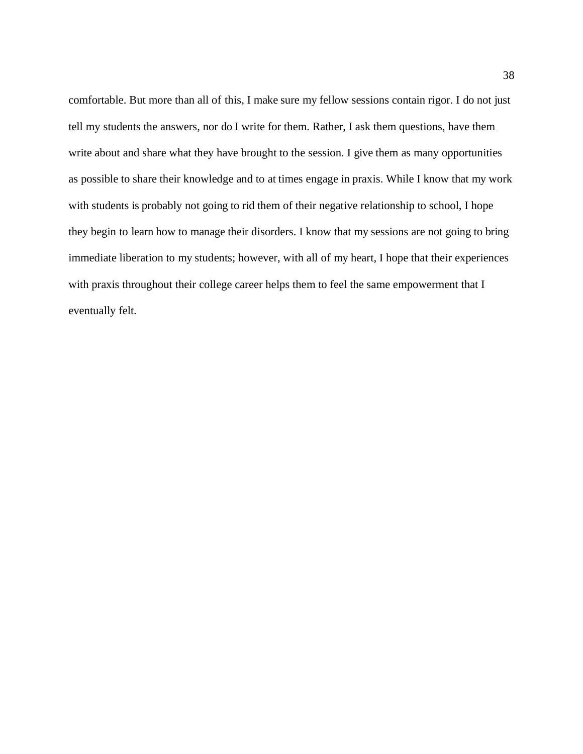comfortable. But more than all of this, I make sure my fellow sessions contain rigor. I do not just tell my students the answers, nor do I write for them. Rather, I ask them questions, have them write about and share what they have brought to the session. I give them as many opportunities as possible to share their knowledge and to at times engage in praxis. While I know that my work with students is probably not going to rid them of their negative relationship to school, I hope they begin to learn how to manage their disorders. I know that my sessions are not going to bring immediate liberation to my students; however, with all of my heart, I hope that their experiences with praxis throughout their college career helps them to feel the same empowerment that I eventually felt.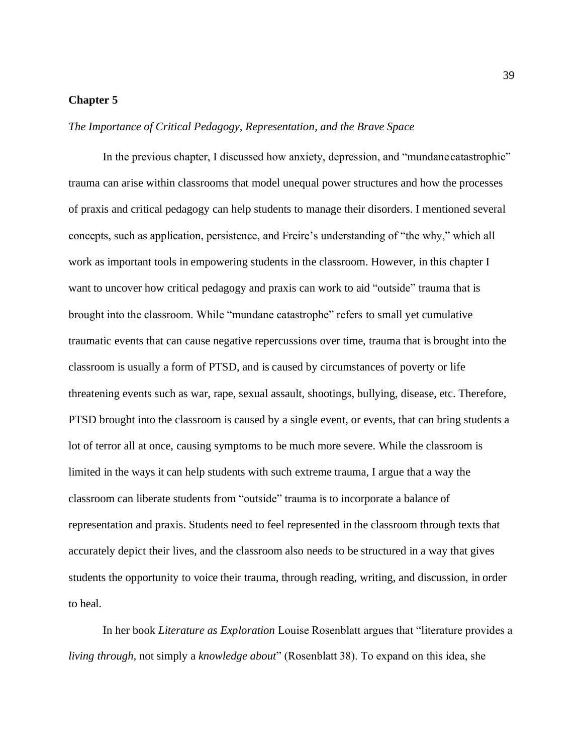#### **Chapter 5**

*The Importance of Critical Pedagogy, Representation, and the Brave Space*

In the previous chapter, I discussed how anxiety, depression, and "mundanecatastrophic" trauma can arise within classrooms that model unequal power structures and how the processes of praxis and critical pedagogy can help students to manage their disorders. I mentioned several concepts, such as application, persistence, and Freire's understanding of "the why," which all work as important tools in empowering students in the classroom. However, in this chapter I want to uncover how critical pedagogy and praxis can work to aid "outside" trauma that is brought into the classroom. While "mundane catastrophe" refers to small yet cumulative traumatic events that can cause negative repercussions over time, trauma that is brought into the classroom is usually a form of PTSD, and is caused by circumstances of poverty or life threatening events such as war, rape, sexual assault, shootings, bullying, disease, etc. Therefore, PTSD brought into the classroom is caused by a single event, or events, that can bring students a lot of terror all at once, causing symptoms to be much more severe. While the classroom is limited in the ways it can help students with such extreme trauma, I argue that a way the classroom can liberate students from "outside" trauma is to incorporate a balance of representation and praxis. Students need to feel represented in the classroom through texts that accurately depict their lives, and the classroom also needs to be structured in a way that gives students the opportunity to voice their trauma, through reading, writing, and discussion, in order to heal.

In her book *Literature as Exploration* Louise Rosenblatt argues that "literature provides a *living through,* not simply a *knowledge about*" (Rosenblatt 38). To expand on this idea, she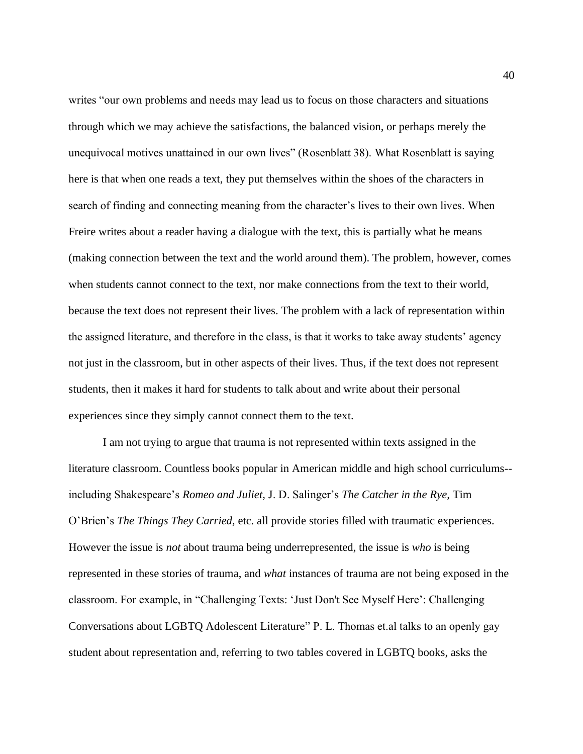writes "our own problems and needs may lead us to focus on those characters and situations through which we may achieve the satisfactions, the balanced vision, or perhaps merely the unequivocal motives unattained in our own lives" (Rosenblatt 38). What Rosenblatt is saying here is that when one reads a text, they put themselves within the shoes of the characters in search of finding and connecting meaning from the character's lives to their own lives. When Freire writes about a reader having a dialogue with the text, this is partially what he means (making connection between the text and the world around them). The problem, however, comes when students cannot connect to the text, nor make connections from the text to their world, because the text does not represent their lives. The problem with a lack of representation within the assigned literature, and therefore in the class, is that it works to take away students' agency not just in the classroom, but in other aspects of their lives. Thus, if the text does not represent students, then it makes it hard for students to talk about and write about their personal experiences since they simply cannot connect them to the text.

I am not trying to argue that trauma is not represented within texts assigned in the literature classroom. Countless books popular in American middle and high school curriculums- including Shakespeare's *Romeo and Juliet,* J. D. Salinger's *The Catcher in the Rye,* Tim O'Brien's *The Things They Carried,* etc. all provide stories filled with traumatic experiences. However the issue is *not* about trauma being underrepresented, the issue is *who* is being represented in these stories of trauma, and *what* instances of trauma are not being exposed in the classroom. For example, in "Challenging Texts: 'Just Don't See Myself Here': Challenging Conversations about LGBTQ Adolescent Literature" P. L. Thomas et.al talks to an openly gay student about representation and, referring to two tables covered in LGBTQ books, asks the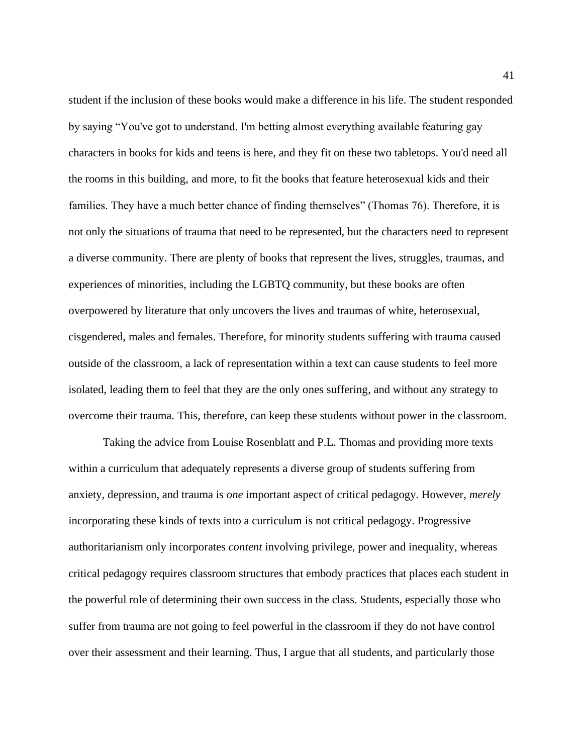student if the inclusion of these books would make a difference in his life. The student responded by saying "You've got to understand. I'm betting almost everything available featuring gay characters in books for kids and teens is here, and they fit on these two tabletops. You'd need all the rooms in this building, and more, to fit the books that feature heterosexual kids and their families. They have a much better chance of finding themselves" (Thomas 76). Therefore, it is not only the situations of trauma that need to be represented, but the characters need to represent a diverse community. There are plenty of books that represent the lives, struggles, traumas, and experiences of minorities, including the LGBTQ community, but these books are often overpowered by literature that only uncovers the lives and traumas of white, heterosexual, cisgendered, males and females. Therefore, for minority students suffering with trauma caused outside of the classroom, a lack of representation within a text can cause students to feel more isolated, leading them to feel that they are the only ones suffering, and without any strategy to overcome their trauma. This, therefore, can keep these students without power in the classroom.

Taking the advice from Louise Rosenblatt and P.L. Thomas and providing more texts within a curriculum that adequately represents a diverse group of students suffering from anxiety, depression, and trauma is *one* important aspect of critical pedagogy. However, *merely*  incorporating these kinds of texts into a curriculum is not critical pedagogy. Progressive authoritarianism only incorporates *content* involving privilege, power and inequality, whereas critical pedagogy requires classroom structures that embody practices that places each student in the powerful role of determining their own success in the class. Students, especially those who suffer from trauma are not going to feel powerful in the classroom if they do not have control over their assessment and their learning. Thus, I argue that all students, and particularly those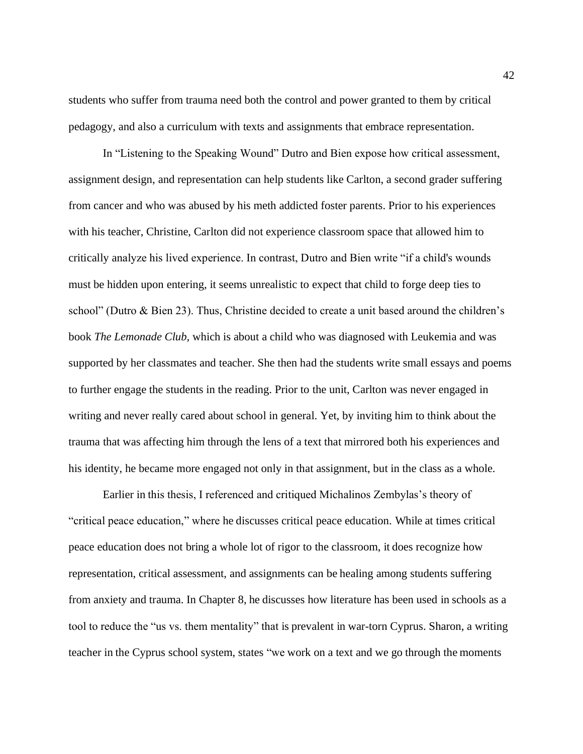students who suffer from trauma need both the control and power granted to them by critical pedagogy, and also a curriculum with texts and assignments that embrace representation.

In "Listening to the Speaking Wound" Dutro and Bien expose how critical assessment, assignment design, and representation can help students like Carlton, a second grader suffering from cancer and who was abused by his meth addicted foster parents. Prior to his experiences with his teacher, Christine, Carlton did not experience classroom space that allowed him to critically analyze his lived experience. In contrast, Dutro and Bien write "if a child's wounds must be hidden upon entering, it seems unrealistic to expect that child to forge deep ties to school" (Dutro & Bien 23). Thus, Christine decided to create a unit based around the children's book *The Lemonade Club,* which is about a child who was diagnosed with Leukemia and was supported by her classmates and teacher. She then had the students write small essays and poems to further engage the students in the reading. Prior to the unit, Carlton was never engaged in writing and never really cared about school in general. Yet, by inviting him to think about the trauma that was affecting him through the lens of a text that mirrored both his experiences and his identity, he became more engaged not only in that assignment, but in the class as a whole.

Earlier in this thesis, I referenced and critiqued Michalinos Zembylas's theory of "critical peace education," where he discusses critical peace education. While at times critical peace education does not bring a whole lot of rigor to the classroom, it does recognize how representation, critical assessment, and assignments can be healing among students suffering from anxiety and trauma. In Chapter 8, he discusses how literature has been used in schools as a tool to reduce the "us vs. them mentality" that is prevalent in war-torn Cyprus. Sharon, a writing teacher in the Cyprus school system, states "we work on a text and we go through the moments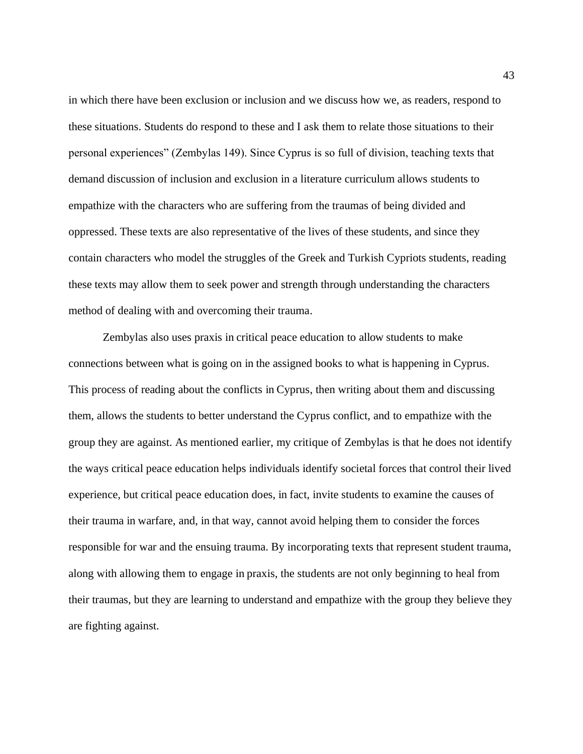in which there have been exclusion or inclusion and we discuss how we, as readers, respond to these situations. Students do respond to these and I ask them to relate those situations to their personal experiences" (Zembylas 149). Since Cyprus is so full of division, teaching texts that demand discussion of inclusion and exclusion in a literature curriculum allows students to empathize with the characters who are suffering from the traumas of being divided and oppressed. These texts are also representative of the lives of these students, and since they contain characters who model the struggles of the Greek and Turkish Cypriots students, reading these texts may allow them to seek power and strength through understanding the characters method of dealing with and overcoming their trauma.

Zembylas also uses praxis in critical peace education to allow students to make connections between what is going on in the assigned books to what is happening in Cyprus. This process of reading about the conflicts in Cyprus, then writing about them and discussing them, allows the students to better understand the Cyprus conflict, and to empathize with the group they are against. As mentioned earlier, my critique of Zembylas is that he does not identify the ways critical peace education helps individuals identify societal forces that control their lived experience, but critical peace education does, in fact, invite students to examine the causes of their trauma in warfare, and, in that way, cannot avoid helping them to consider the forces responsible for war and the ensuing trauma. By incorporating texts that represent student trauma, along with allowing them to engage in praxis, the students are not only beginning to heal from their traumas, but they are learning to understand and empathize with the group they believe they are fighting against.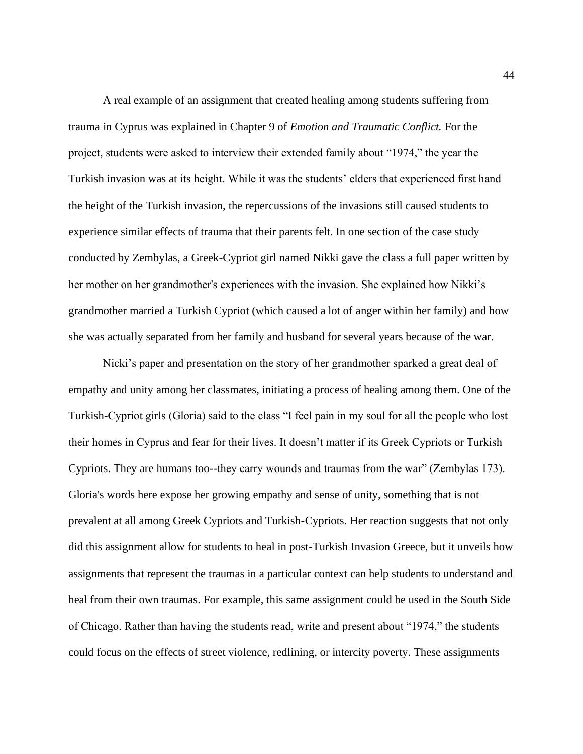A real example of an assignment that created healing among students suffering from trauma in Cyprus was explained in Chapter 9 of *Emotion and Traumatic Conflict.* For the project, students were asked to interview their extended family about "1974," the year the Turkish invasion was at its height. While it was the students' elders that experienced first hand the height of the Turkish invasion, the repercussions of the invasions still caused students to experience similar effects of trauma that their parents felt. In one section of the case study conducted by Zembylas, a Greek-Cypriot girl named Nikki gave the class a full paper written by her mother on her grandmother's experiences with the invasion. She explained how Nikki's grandmother married a Turkish Cypriot (which caused a lot of anger within her family) and how she was actually separated from her family and husband for several years because of the war.

Nicki's paper and presentation on the story of her grandmother sparked a great deal of empathy and unity among her classmates, initiating a process of healing among them. One of the Turkish-Cypriot girls (Gloria) said to the class "I feel pain in my soul for all the people who lost their homes in Cyprus and fear for their lives. It doesn't matter if its Greek Cypriots or Turkish Cypriots. They are humans too--they carry wounds and traumas from the war" (Zembylas 173). Gloria's words here expose her growing empathy and sense of unity, something that is not prevalent at all among Greek Cypriots and Turkish-Cypriots. Her reaction suggests that not only did this assignment allow for students to heal in post-Turkish Invasion Greece, but it unveils how assignments that represent the traumas in a particular context can help students to understand and heal from their own traumas. For example, this same assignment could be used in the South Side of Chicago. Rather than having the students read, write and present about "1974," the students could focus on the effects of street violence, redlining, or intercity poverty. These assignments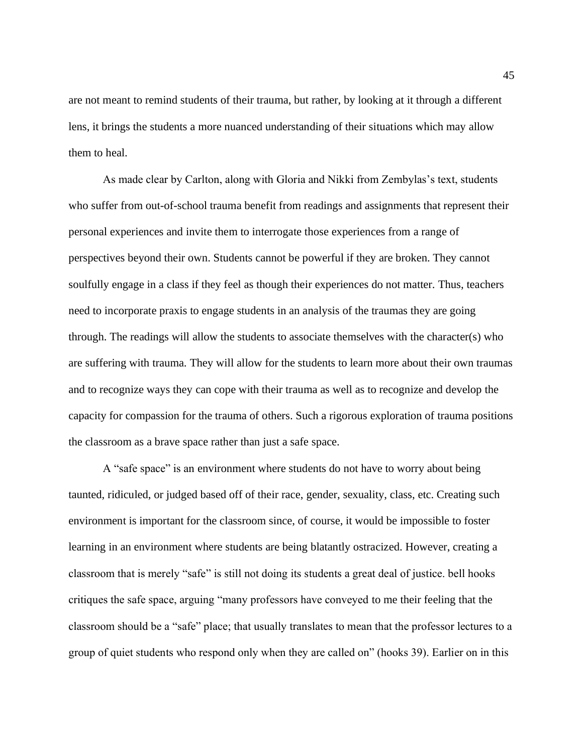are not meant to remind students of their trauma, but rather, by looking at it through a different lens, it brings the students a more nuanced understanding of their situations which may allow them to heal.

As made clear by Carlton, along with Gloria and Nikki from Zembylas's text, students who suffer from out-of-school trauma benefit from readings and assignments that represent their personal experiences and invite them to interrogate those experiences from a range of perspectives beyond their own. Students cannot be powerful if they are broken. They cannot soulfully engage in a class if they feel as though their experiences do not matter. Thus, teachers need to incorporate praxis to engage students in an analysis of the traumas they are going through. The readings will allow the students to associate themselves with the character(s) who are suffering with trauma. They will allow for the students to learn more about their own traumas and to recognize ways they can cope with their trauma as well as to recognize and develop the capacity for compassion for the trauma of others. Such a rigorous exploration of trauma positions the classroom as a brave space rather than just a safe space.

A "safe space" is an environment where students do not have to worry about being taunted, ridiculed, or judged based off of their race, gender, sexuality, class, etc. Creating such environment is important for the classroom since, of course, it would be impossible to foster learning in an environment where students are being blatantly ostracized. However, creating a classroom that is merely "safe" is still not doing its students a great deal of justice. bell hooks critiques the safe space, arguing "many professors have conveyed to me their feeling that the classroom should be a "safe" place; that usually translates to mean that the professor lectures to a group of quiet students who respond only when they are called on" (hooks 39). Earlier on in this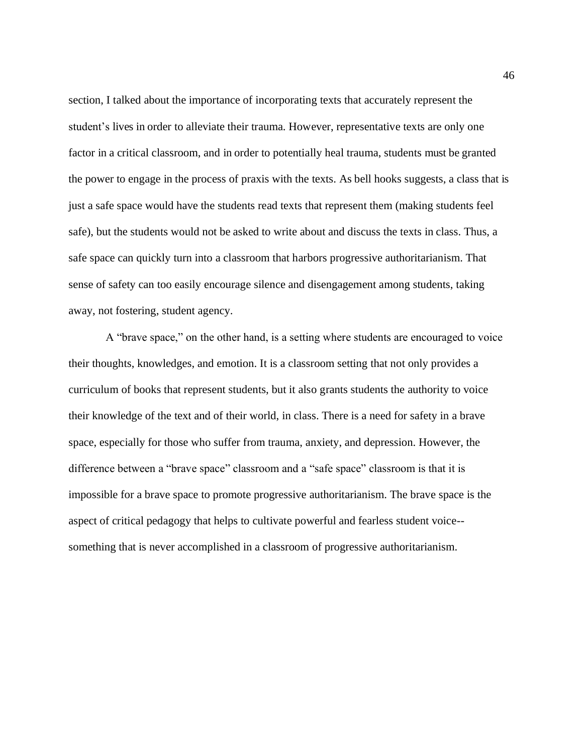section, I talked about the importance of incorporating texts that accurately represent the student's lives in order to alleviate their trauma. However, representative texts are only one factor in a critical classroom, and in order to potentially heal trauma, students must be granted the power to engage in the process of praxis with the texts. As bell hooks suggests, a class that is just a safe space would have the students read texts that represent them (making students feel safe), but the students would not be asked to write about and discuss the texts in class. Thus, a safe space can quickly turn into a classroom that harbors progressive authoritarianism. That sense of safety can too easily encourage silence and disengagement among students, taking away, not fostering, student agency.

A "brave space," on the other hand, is a setting where students are encouraged to voice their thoughts, knowledges, and emotion. It is a classroom setting that not only provides a curriculum of books that represent students, but it also grants students the authority to voice their knowledge of the text and of their world, in class. There is a need for safety in a brave space, especially for those who suffer from trauma, anxiety, and depression. However, the difference between a "brave space" classroom and a "safe space" classroom is that it is impossible for a brave space to promote progressive authoritarianism. The brave space is the aspect of critical pedagogy that helps to cultivate powerful and fearless student voice- something that is never accomplished in a classroom of progressive authoritarianism.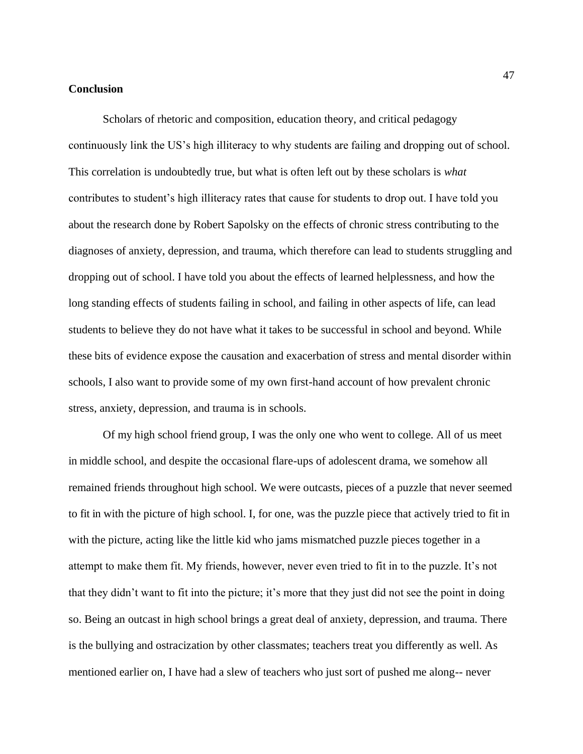### **Conclusion**

Scholars of rhetoric and composition, education theory, and critical pedagogy continuously link the US's high illiteracy to why students are failing and dropping out of school. This correlation is undoubtedly true, but what is often left out by these scholars is *what*  contributes to student's high illiteracy rates that cause for students to drop out. I have told you about the research done by Robert Sapolsky on the effects of chronic stress contributing to the diagnoses of anxiety, depression, and trauma, which therefore can lead to students struggling and dropping out of school. I have told you about the effects of learned helplessness, and how the long standing effects of students failing in school, and failing in other aspects of life, can lead students to believe they do not have what it takes to be successful in school and beyond. While these bits of evidence expose the causation and exacerbation of stress and mental disorder within schools, I also want to provide some of my own first-hand account of how prevalent chronic stress, anxiety, depression, and trauma is in schools.

Of my high school friend group, I was the only one who went to college. All of us meet in middle school, and despite the occasional flare-ups of adolescent drama, we somehow all remained friends throughout high school. We were outcasts, pieces of a puzzle that never seemed to fit in with the picture of high school. I, for one, was the puzzle piece that actively tried to fit in with the picture, acting like the little kid who jams mismatched puzzle pieces together in a attempt to make them fit. My friends, however, never even tried to fit in to the puzzle. It's not that they didn't want to fit into the picture; it's more that they just did not see the point in doing so. Being an outcast in high school brings a great deal of anxiety, depression, and trauma. There is the bullying and ostracization by other classmates; teachers treat you differently as well. As mentioned earlier on, I have had a slew of teachers who just sort of pushed me along-- never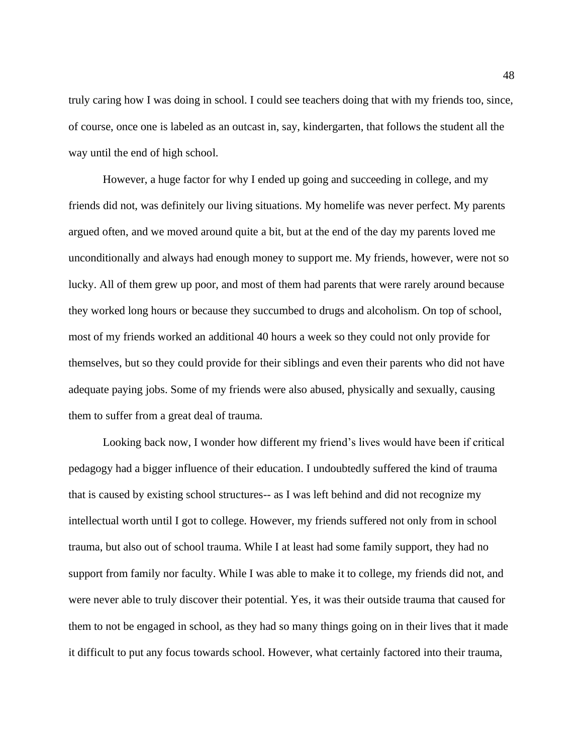truly caring how I was doing in school. I could see teachers doing that with my friends too, since, of course, once one is labeled as an outcast in, say, kindergarten, that follows the student all the way until the end of high school.

However, a huge factor for why I ended up going and succeeding in college, and my friends did not, was definitely our living situations. My homelife was never perfect. My parents argued often, and we moved around quite a bit, but at the end of the day my parents loved me unconditionally and always had enough money to support me. My friends, however, were not so lucky. All of them grew up poor, and most of them had parents that were rarely around because they worked long hours or because they succumbed to drugs and alcoholism. On top of school, most of my friends worked an additional 40 hours a week so they could not only provide for themselves, but so they could provide for their siblings and even their parents who did not have adequate paying jobs. Some of my friends were also abused, physically and sexually, causing them to suffer from a great deal of trauma.

Looking back now, I wonder how different my friend's lives would have been if critical pedagogy had a bigger influence of their education. I undoubtedly suffered the kind of trauma that is caused by existing school structures-- as I was left behind and did not recognize my intellectual worth until I got to college. However, my friends suffered not only from in school trauma, but also out of school trauma. While I at least had some family support, they had no support from family nor faculty. While I was able to make it to college, my friends did not, and were never able to truly discover their potential. Yes, it was their outside trauma that caused for them to not be engaged in school, as they had so many things going on in their lives that it made it difficult to put any focus towards school. However, what certainly factored into their trauma,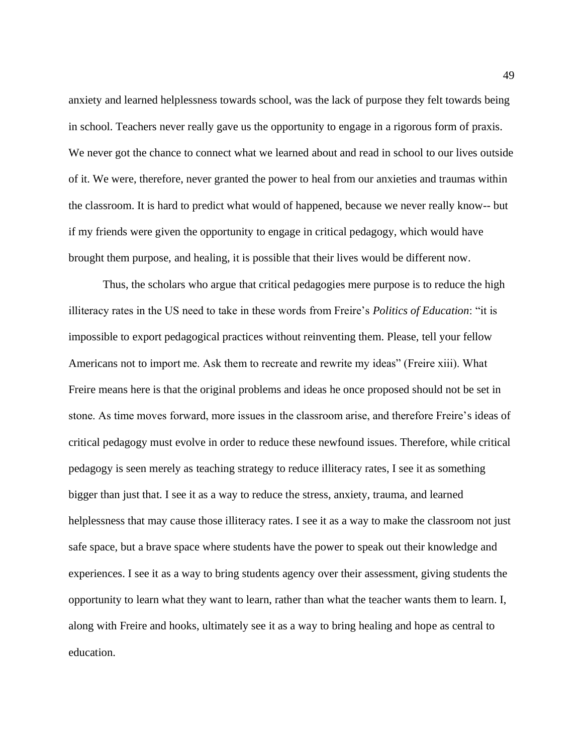anxiety and learned helplessness towards school, was the lack of purpose they felt towards being in school. Teachers never really gave us the opportunity to engage in a rigorous form of praxis. We never got the chance to connect what we learned about and read in school to our lives outside of it. We were, therefore, never granted the power to heal from our anxieties and traumas within the classroom. It is hard to predict what would of happened, because we never really know-- but if my friends were given the opportunity to engage in critical pedagogy, which would have brought them purpose, and healing, it is possible that their lives would be different now.

Thus, the scholars who argue that critical pedagogies mere purpose is to reduce the high illiteracy rates in the US need to take in these words from Freire's *Politics of Education*: "it is impossible to export pedagogical practices without reinventing them. Please, tell your fellow Americans not to import me. Ask them to recreate and rewrite my ideas" (Freire xiii). What Freire means here is that the original problems and ideas he once proposed should not be set in stone. As time moves forward, more issues in the classroom arise, and therefore Freire's ideas of critical pedagogy must evolve in order to reduce these newfound issues. Therefore, while critical pedagogy is seen merely as teaching strategy to reduce illiteracy rates, I see it as something bigger than just that. I see it as a way to reduce the stress, anxiety, trauma, and learned helplessness that may cause those illiteracy rates. I see it as a way to make the classroom not just safe space, but a brave space where students have the power to speak out their knowledge and experiences. I see it as a way to bring students agency over their assessment, giving students the opportunity to learn what they want to learn, rather than what the teacher wants them to learn. I, along with Freire and hooks, ultimately see it as a way to bring healing and hope as central to education.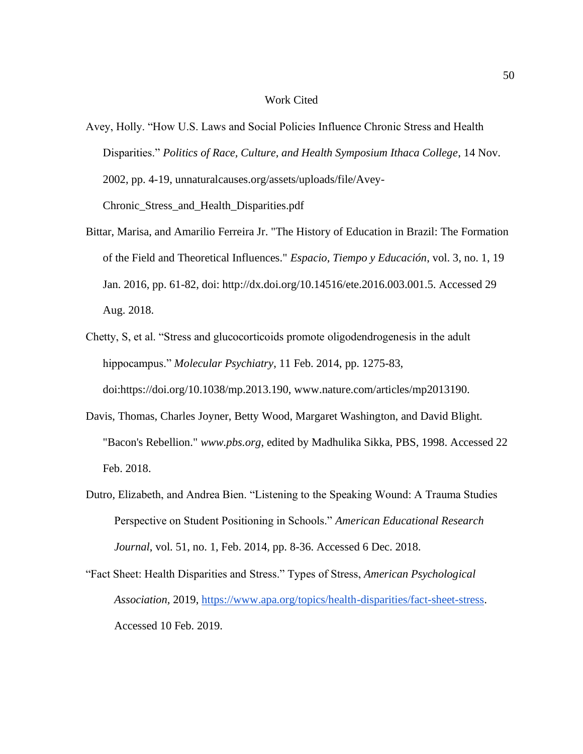#### Work Cited

- Avey, Holly. "How U.S. Laws and Social Policies Influence Chronic Stress and Health Disparities." *Politics of Race, Culture, and Health Symposium Ithaca College*, 14 Nov. 2002, pp. 4-19, unnaturalcauses.org/assets/uploads/file/Avey-Chronic\_Stress\_and\_Health\_Disparities.pdf
- Bittar, Marisa, and Amarilio Ferreira Jr. "The History of Education in Brazil: The Formation of the Field and Theoretical Influences." *Espacio, Tiempo y Educación*, vol. 3, no. 1, 19 Jan. 2016, pp. 61-82, doi: [http://dx.doi.org/10.14516/ete.2016.003.001.5. A](http://dx.doi.org/10.14516/ete.2016.003.001.5)ccessed 29 Aug. 2018.
- Chetty, S, et al. "Stress and glucocorticoids promote oligodendrogenesis in the adult hippocampus." *Molecular Psychiatry*, 11 Feb. 2014, pp. 1275-83, doi:https://doi.org/10.1038/mp.2013.190, [www.nature.com/articles/mp2013190.](http://www.nature.com/articles/mp2013190)
- Davis, Thomas, Charles Joyner, Betty Wood, Margaret Washington, and David Blight. "Bacon's Rebellion." *[www.pbs.org](http://www.pbs.org/)*, edited by Madhulika Sikka, PBS, 1998. Accessed 22 Feb. 2018.
- Dutro, Elizabeth, and Andrea Bien. "Listening to the Speaking Wound: A Trauma Studies Perspective on Student Positioning in Schools." *American Educational Research Journal*, vol. 51, no. 1, Feb. 2014, pp. 8-36. Accessed 6 Dec. 2018.

"Fact Sheet: Health Disparities and Stress." Types of Stress, *American Psychological Association,* 2019, [https://www.apa.org/topics/health-disparities/fact-sheet-stress.](https://www.apa.org/topics/health-disparities/fact-sheet-stress) Accessed 10 Feb. 2019.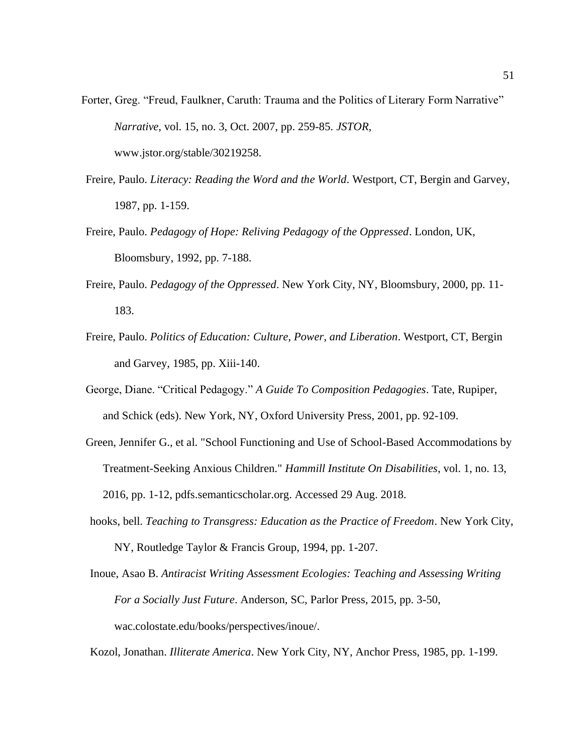- Forter, Greg. "Freud, Faulkner, Caruth: Trauma and the Politics of Literary Form Narrative" *Narrative*, vol. 15, no. 3, Oct. 2007, pp. 259-85. *JSTOR*, [www.jstor.org/stable/30219258.](http://www.jstor.org/stable/30219258)
- Freire, Paulo. *Literacy: Reading the Word and the World*. Westport, CT, Bergin and Garvey, 1987, pp. 1-159.
- Freire, Paulo. *Pedagogy of Hope: Reliving Pedagogy of the Oppressed*. London, UK, Bloomsbury, 1992, pp. 7-188.
- Freire, Paulo. *Pedagogy of the Oppressed*. New York City, NY, Bloomsbury, 2000, pp. 11- 183.
- Freire, Paulo. *Politics of Education: Culture, Power, and Liberation*. Westport, CT, Bergin and Garvey, 1985, pp. Xiii-140.
- George, Diane. "Critical Pedagogy." *A Guide To Composition Pedagogies*. Tate, Rupiper, and Schick (eds). New York, NY, Oxford University Press, 2001, pp. 92-109.
- Green, Jennifer G., et al. "School Functioning and Use of School-Based Accommodations by Treatment-Seeking Anxious Children." *Hammill Institute On Disabilities*, vol. 1, no. 13, 2016, pp. 1-12, pdfs.semanticscholar.org. Accessed 29 Aug. 2018.
- hooks, bell. *Teaching to Transgress: Education as the Practice of Freedom*. New York City, NY, Routledge Taylor & Francis Group, 1994, pp. 1-207.
- Inoue, Asao B. *Antiracist Writing Assessment Ecologies: Teaching and Assessing Writing For a Socially Just Future*. Anderson, SC, Parlor Press, 2015, pp. 3-50, wac.colostate.edu/books/perspectives/inoue/.

Kozol, Jonathan. *Illiterate America*. New York City, NY, Anchor Press, 1985, pp. 1-199.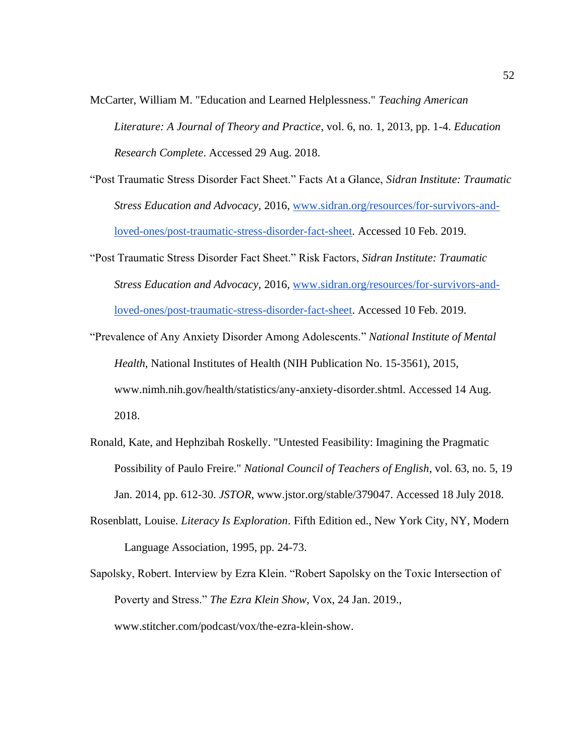McCarter, William M. "Education and Learned Helplessness." *Teaching American Literature: A Journal of Theory and Practice*, vol. 6, no. 1, 2013, pp. 1-4. *Education Research Complete*. Accessed 29 Aug. 2018.

- "Post Traumatic Stress Disorder Fact Sheet." Facts At a Glance, *Sidran Institute: Traumatic Stress Education and Advocacy,* 2016, [www.sidran.org/resources/for-survivors-and](http://www.sidran.org/resources/for-survivors-and-loved-ones/post-traumatic-stress-disorder-fact-sheet)[loved-ones/post-traumatic-stress-disorder-fact-sheet.](http://www.sidran.org/resources/for-survivors-and-loved-ones/post-traumatic-stress-disorder-fact-sheet) Accessed 10 Feb. 2019.
- "Post Traumatic Stress Disorder Fact Sheet." Risk Factors, *Sidran Institute: Traumatic Stress Education and Advocacy,* 2016, [www.sidran.org/resources/for-survivors-and](http://www.sidran.org/resources/for-survivors-and-loved-ones/post-traumatic-stress-disorder-fact-sheet)[loved-ones/post-traumatic-stress-disorder-fact-sheet.](http://www.sidran.org/resources/for-survivors-and-loved-ones/post-traumatic-stress-disorder-fact-sheet) Accessed 10 Feb. 2019.
- "Prevalence of Any Anxiety Disorder Among Adolescents." *National Institute of Mental Health*, National Institutes of Health (NIH Publication No. 15-3561), 2015, [www.nimh.nih.gov/health/statistics/any-anxiety-disorder.shtml. A](http://www.nimh.nih.gov/health/statistics/any-anxiety-disorder.shtml)ccessed 14 Aug. 2018.
- Ronald, Kate, and Hephzibah Roskelly. "Untested Feasibility: Imagining the Pragmatic Possibility of Paulo Freire." *National Council of Teachers of English*, vol. 63, no. 5, 19 Jan. 2014, pp. 612-30. *JSTOR*, [www.jstor.org/stable/379047. A](http://www.jstor.org/stable/379047)ccessed 18 July 2018.
- Rosenblatt, Louise. *Literacy Is Exploration*. Fifth Edition ed., New York City, NY, Modern Language Association, 1995, pp. 24-73.
- Sapolsky, Robert. Interview by Ezra Klein. "Robert Sapolsky on the Toxic Intersection of Poverty and Stress." *The Ezra Klein Show*, Vox, 24 Jan. 2019., [www.stitcher.com/podcast/vox/the-ezra-klein-show.](http://www.stitcher.com/podcast/vox/the-ezra-klein-show)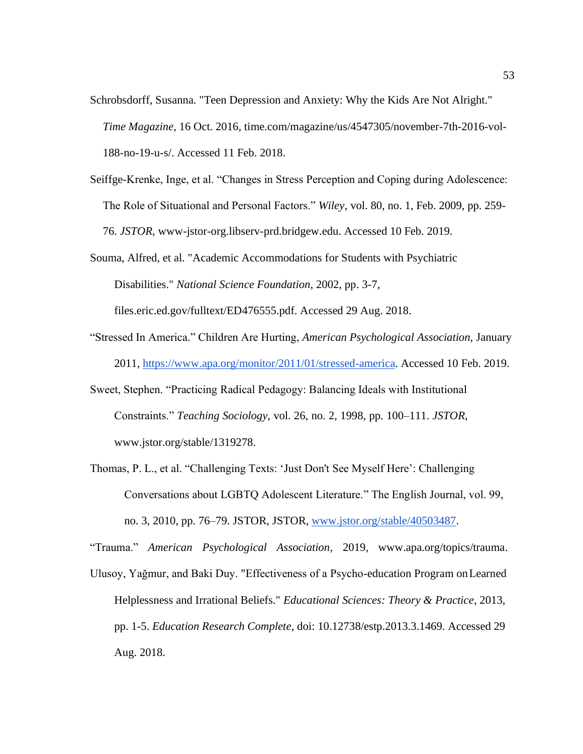- Schrobsdorff, Susanna. "Teen Depression and Anxiety: Why the Kids Are Not Alright." *Time Magazine*, 16 Oct. 2016, time.com/magazine/us/4547305/november-7th-2016-vol-188-no-19-u-s/. Accessed 11 Feb. 2018.
- Seiffge-Krenke, Inge, et al. "Changes in Stress Perception and Coping during Adolescence: The Role of Situational and Personal Factors." *Wiley*, vol. 80, no. 1, Feb. 2009, pp. 259- 76. *JSTOR*, www-jstor-org.libserv-prd.bridgew.edu. Accessed 10 Feb. 2019.
- Souma, Alfred, et al. "Academic Accommodations for Students with Psychiatric Disabilities." *National Science Foundation*, 2002, pp. 3-7,

files.eric.ed.gov/fulltext/ED476555.pdf. Accessed 29 Aug. 2018.

- "Stressed In America." Children Are Hurting, *American Psychological Association,* January 2011, [https://www.apa.org/monitor/2011/01/stressed-america. A](https://www.apa.org/monitor/2011/01/stressed-america)ccessed 10 Feb. 2019.
- Sweet, Stephen. "Practicing Radical Pedagogy: Balancing Ideals with Institutional Constraints." *Teaching Sociology*, vol. 26, no. 2, 1998, pp. 100–111. *JSTOR*, [www.jstor.org/stable/1319278.](http://www.jstor.org/stable/1319278)
- Thomas, P. L., et al. "Challenging Texts: 'Just Don't See Myself Here': Challenging Conversations about LGBTQ Adolescent Literature." The English Journal, vol. 99, no. 3, 2010, pp. 76–79. JSTOR, JSTOR, [www.jstor.org/stable/40503487.](http://www.jstor.org/stable/40503487)

"Trauma." *American Psychological Association*, 2019, [www.apa.org/topics/trauma.](http://www.apa.org/topics/trauma)

Ulusoy, Yağmur, and Baki Duy. "Effectiveness of a Psycho-education Program onLearned Helplessness and Irrational Beliefs." *Educational Sciences: Theory & Practice*, 2013, pp. 1-5. *Education Research Complete*, doi: 10.12738/estp.2013.3.1469. Accessed 29 Aug. 2018.